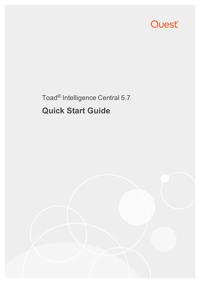

# Toad® Intelligence Central 5.7 **Quick Start Guide**

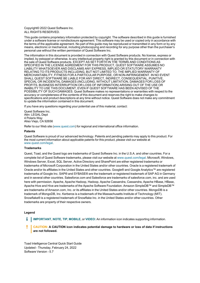Copyright© 2022 Quest Software Inc. ALL RIGHTS RESERVED.

This guide contains proprietary information protected by copyright. The software described in this guide is furnished under a software license or nondisclosure agreement. This software may be used or copied only in accordance with the terms of the applicable agreement. No part of this guide may be reproduced or transmitted in any form or by any means, electronic or mechanical, including photocopying and recording for any purpose other than the purchaser's personal use without the written permission of Quest Software Inc.

The information in this document is provided in connection with Quest Software products. No license, express or implied, by estoppel or otherwise, to any intellectual property right is granted by this document or in connection with the sale of Quest Software products. EXCEPT AS SET FORTH IN THE TERMS AND CONDITIONS AS SPECIFIED IN THE LICENSE AGREEMENT FOR THIS PRODUCT, QUEST SOFTWARE ASSUMES NO LIABILITY WHATSOEVER AND DISCLAIMS ANY EXPRESS, IMPLIED OR STATUTORY WARRANTY RELATING TO ITS PRODUCTS INCLUDING, BUT NOT LIMITED TO, THE IMPLIED WARRANTY OF MERCHANTABILITY, FITNESS FOR A PARTICULAR PURPOSE, OR NON-INFRINGEMENT. IN NO EVENT SHALL QUEST SOFTWARE BE LIABLE FOR ANY DIRECT, INDIRECT, CONSEQUENTIAL, PUNITIVE, SPECIAL OR INCIDENTAL DAMAGES (INCLUDING, WITHOUT LIMITATION, DAMAGES FOR LOSS OF PROFITS, BUSINESS INTERRUPTION OR LOSS OF INFORMATION) ARISING OUT OF THE USE OR INABILITY TO USE THIS DOCUMENT, EVEN IF QUEST SOFTWARE HAS BEEN ADVISED OF THE POSSIBILITY OF SUCH DAMAGES. Quest Software makes no representations or warranties with respect to the accuracy or completeness of the contents of this document and reserves the right to make changes to specifications and product descriptions at any time without notice. Quest Software does not make any commitment to update the information contained in this document.

If you have any questions regarding your potential use of this material, contact:

Quest Software Inc. Attn: LEGAL Dept 4 Polaris Way Aliso Viejo, CA 92656

Refer to our Web site [\(www.quest.com\)](http://www.quest.com/) for regional and international office information.

#### **Patents**

Quest Software is proud of our advanced technology. Patents and pending patents may apply to this product. For the most current information about applicable patents for this product, please visit our website at [www.quest.com/legal](http://www.quest.com/legal).

#### **Trademarks**

Quest, Toad, and the Quest logo are trademarks of Quest Software Inc. in the U.S.A. and other countries. For a complete list of Quest Software trademarks, please visit our website at [www.quest.com/legal](http://www.quest.com/legal). Microsoft, Windows, Windows Server, Excel, SQL Server, Active Directory and SharePoint are either registered trademarks or trademarks of Microsoft Corporation in the United States and/or other countries. Oracle is a registered trademark of Oracle and/or its affiliates in the United States and other countries. Google® and Google Analytics™ are registered trademarks of Google Inc. SAP® and SYBASE® are the trademark or registered trademark of SAP AG in Germany and in several other countries. Salesforce.com and Salesforce are trademarks of salesforce.com, inc. and are used here with permission. Apache, Apache Hadoop, Hadoop, Apache Cassandra, Cassandra, Apache HBase, HBase, Apache Hive and Hive are trademarks of the Apache Software Foundation. Amazon SimpleDB™ and SimpleDB™ are trademarks of Amazon.com, Inc. or its affiliates in the United States and/or other countries. MongoDB is a trademark of MongoDB, Inc. Kerberos is a trademark of the Massachusetts Institute of Technology (MIT). Snowflake® is a registered trademark of Snowflake Inc. in the United States and/or other countries. Other trademarks are property of their respective owners.

#### **Legend**

- **IMPORTANT**, **NOTE**, **TIP**, **MOBILE**, or **VIDEO:** An information icon indicates supporting information.
- **CAUTION: A CAUTION icon indicates potential damage to hardware or loss of data if instructions are not followed.**

Toad Intelligence Central Quick Start Guide Updated - Thursday, February 24, 2022 Software Version - 5.7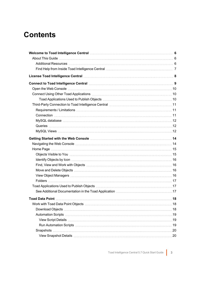## **Contents**

| Welcome to Toad Intelligence Central material contracts and the Second Section of Section 4. [6]               |  |
|----------------------------------------------------------------------------------------------------------------|--|
|                                                                                                                |  |
|                                                                                                                |  |
|                                                                                                                |  |
| License Toad Intelligence Central material contracts and the State of State of State and State and S           |  |
|                                                                                                                |  |
|                                                                                                                |  |
|                                                                                                                |  |
|                                                                                                                |  |
|                                                                                                                |  |
|                                                                                                                |  |
|                                                                                                                |  |
|                                                                                                                |  |
|                                                                                                                |  |
|                                                                                                                |  |
|                                                                                                                |  |
| Navigating the Web Console measurement and the USA of the USA of the USA of the USA of the USA of the USA of t |  |
|                                                                                                                |  |
|                                                                                                                |  |
|                                                                                                                |  |
|                                                                                                                |  |
|                                                                                                                |  |
|                                                                                                                |  |
|                                                                                                                |  |
|                                                                                                                |  |
|                                                                                                                |  |
|                                                                                                                |  |
|                                                                                                                |  |
|                                                                                                                |  |
|                                                                                                                |  |
|                                                                                                                |  |
|                                                                                                                |  |
|                                                                                                                |  |
|                                                                                                                |  |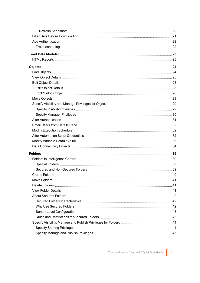| Folders in Intelligence Central measurements and the control of the state of the state of the state of the state of the state of the state of the state of the state of the state of the state of the state of the state of th |  |
|--------------------------------------------------------------------------------------------------------------------------------------------------------------------------------------------------------------------------------|--|
|                                                                                                                                                                                                                                |  |
|                                                                                                                                                                                                                                |  |
|                                                                                                                                                                                                                                |  |
|                                                                                                                                                                                                                                |  |
|                                                                                                                                                                                                                                |  |
|                                                                                                                                                                                                                                |  |
|                                                                                                                                                                                                                                |  |
|                                                                                                                                                                                                                                |  |
|                                                                                                                                                                                                                                |  |
|                                                                                                                                                                                                                                |  |
|                                                                                                                                                                                                                                |  |
|                                                                                                                                                                                                                                |  |
|                                                                                                                                                                                                                                |  |
|                                                                                                                                                                                                                                |  |
|                                                                                                                                                                                                                                |  |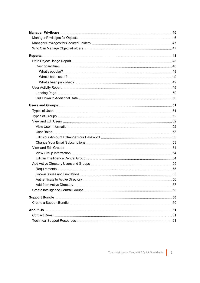| Data Object Usage Report (1998) with the control of the Control of the Control of the Control of the Control o |  |
|----------------------------------------------------------------------------------------------------------------|--|
|                                                                                                                |  |
|                                                                                                                |  |
|                                                                                                                |  |
|                                                                                                                |  |
|                                                                                                                |  |
|                                                                                                                |  |
|                                                                                                                |  |
|                                                                                                                |  |
|                                                                                                                |  |
|                                                                                                                |  |
|                                                                                                                |  |
|                                                                                                                |  |
|                                                                                                                |  |
|                                                                                                                |  |
|                                                                                                                |  |
|                                                                                                                |  |
|                                                                                                                |  |
|                                                                                                                |  |
|                                                                                                                |  |
|                                                                                                                |  |
|                                                                                                                |  |
|                                                                                                                |  |
|                                                                                                                |  |
|                                                                                                                |  |
|                                                                                                                |  |
|                                                                                                                |  |
|                                                                                                                |  |
|                                                                                                                |  |
|                                                                                                                |  |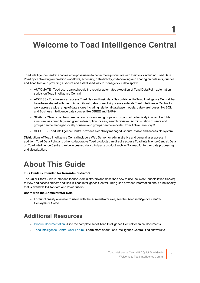## <span id="page-5-0"></span>**Welcome to Toad Intelligence Central**

Toad Intelligence Central enables enterprise users to be far more productive with their tools including Toad Data Point by centralizing automation workflows, accessing data directly, collaborating and sharing on datasets, queries and Toad files and providing a secure and established way to manage your data sprawl.

- AUTOMATE Toad users can schedule the regular automated execution of Toad Data Point automation scripts on Toad Intelligence Central.
- ACCESS Toad users can access Toad files and basic data files published to Toad Intelligence Central that have been shared with them. An additional data connectivity license extends Toad Intelligence Central to work across a wide range of data stores including relational database models, data warehouses, No SQL and Business Intelligence data sources like OBIEE and SAP®.
- SHARE Objects can be shared amongst users and groups and organized collectively in a familiar folder structure, assigned tags and given a description for easy search retrieval. Administration of users and groups can be managed locally or users and groups can be imported from Active Directory®.
- SECURE Toad Intelligence Central provides a centrally managed, secure, stable and accessible system.

Distributions of Toad Intelligence Central include a Web Server for administrative and general user access. In addition, Toad Data Point and other collaborative Toad products can directly access Toad Intelligence Central. Data on Toad Intelligence Central can be accessed via a third party product such as Tableau for further data processing and visualization.

## <span id="page-5-1"></span>**About This Guide**

#### **This Guide is Intended for Non-Administrators**

The Quick Start Guide is intended for non-Administrators and describes how to use the Web Console (Web Server) to view and access objects and files in Toad Intelligence Central. This guide provides information about functionality that is available to Standard and Power users.

#### **Users with the Administrator Role**

<sup>l</sup> For functionality available to users with the Administrator role, see the *Toad Intelligence Central Deployment Guide*.

### <span id="page-5-2"></span>**Additional Resources**

- Product [documentation](https://support.quest.com/toad-intelligence-central/technical-documents) Find the complete set of Toad Intelligence Central technical documents.
- Toad [Intelligence](https://forums.toadworld.com/c/toad-intelligence-central) Central User Forum Learn more about Toad Intelligence Central, find answers to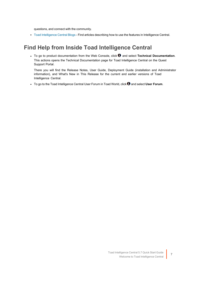questions, and connect with the community.

<span id="page-6-0"></span><sup>l</sup> Toad [Intelligence](https://blog.toadworld.com/tag/toad-intelligence-central) Central Blogs - Find articles describing how to use the features in Intelligence Central.

### **Find Help from Inside Toad Intelligence Central**

• To go to product documentation from the Web Console, click **0** and select **Technical Documentation**. This actions opens the Technical Documentation page for Toad Intelligence Central on the Quest Support Portal.

There you will find the Release Notes, User Guide, Deployment Guide (installation and Administrator information), and What's New in This Release for the current and earlier versions of Toad Intelligence Central.

**.** To go to the Toad Intelligence Central User Forum in Toad World, click **0** and select User Forum.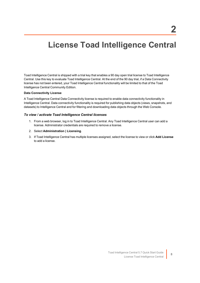## <span id="page-7-0"></span>**License Toad Intelligence Central**

Toad Intelligence Central is shipped with a trial key that enables a 90 day open trial license to Toad Intelligence Central. Use this key to evaluate Toad Intelligence Central. At the end of the 90 day trial, if a Data Connectivity license has not been entered, your Toad Intelligence Central functionality will be limited to that of the Toad Intelligence Central Community Edition.

#### **Data Connectivity License**

A Toad Intelligence Central Data Connectivity license is required to enable data connectivity functionality in Intelligence Central. Data connectivity functionality is required for publishing data objects (views, snapshots, and datasets) to Intelligence Central and for filtering and downloading data objects through the Web Console.

#### *To view / activate Toad Intelligence Central licenses*

- 1. From a web browser, log in to Toad Intelligence Central. Any Toad Intelligence Central user can add a license. Administrator credentials are required to remove a license.
- 2. Select **Administration | Licensing**.
- 3. If Toad Intelligence Central has multiple licenses assigned, select the license to view or click **Add License** to add a license.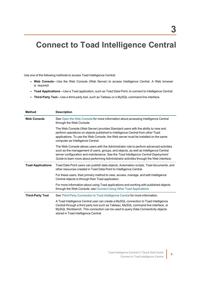## <span id="page-8-0"></span>**Connect to Toad Intelligence Central**

Use one of the following methods to access Toad Intelligence Central:

- Web Console—Use the Web Console (Web Server) to access Intelligence Central. A Web browser is required.
- <sup>l</sup> **Toad Applications**—Use a Toad application, such as Toad Data Point, to connect to Intelligence Central.
- <sup>l</sup> **Third-Party Tool**—Use a third-party tool, such as Tableau or a MySQL command line interface.

| <b>Method</b>            | <b>Description</b>                                                                                                                                                                                                                                                                                                                                                 |
|--------------------------|--------------------------------------------------------------------------------------------------------------------------------------------------------------------------------------------------------------------------------------------------------------------------------------------------------------------------------------------------------------------|
| <b>Web Console</b>       | See Open the Web Console for more information about accessing Intelligence Central<br>through the Web Console.                                                                                                                                                                                                                                                     |
|                          | The Web Console (Web Server) provides Standard users with the ability to view and<br>perform operations on objects published to Intelligence Central from other Toad<br>applications. To use the Web Console, the Web server must be installed on the same<br>computer as Intelligence Central.                                                                    |
|                          | The Web Console allows users with the Administrator role to perform advanced activities<br>such as the management of users, groups, and objects, as well as Intelligence Central<br>server configuration and maintenance. See the Toad Intelligence Central Deployment<br>Guide to learn more about performing Administrator activities through the Web interface. |
| <b>Toad Applications</b> | Toad Data Point users can publish data objects, Automation scripts, Toad documents, and<br>other resources created in Toad Data Point to Intelligence Central.                                                                                                                                                                                                     |
|                          | For these users, their primary method to view, access, manage, and edit Intelligence<br>Central objects is through their Toad application.                                                                                                                                                                                                                         |
|                          | For more information about using Toad applications and working with published objects<br>through the Web Console, see Connect Using Other Toad Applications                                                                                                                                                                                                        |
| <b>Third-Party Tool</b>  | See Third-Party Connection to Toad Intelligence Central for more information.                                                                                                                                                                                                                                                                                      |
|                          | A Toad Intelligence Central user can create a MySQL connection to Toad Intelligence<br>Central through a third party tool such as Tableau, MySQL command line interface, or<br>MySQL Workbench. This connection can be used to query Data Connectivity objects<br>stored in Toad Intelligence Central.                                                             |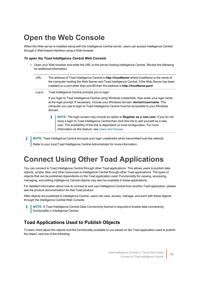## <span id="page-9-0"></span>**Open the Web Console**

When the Web server is installed along with the Intelligence Central server, users can access Intelligence Central through a Web-based interface using a Web browser.

### *To open the Toad Intelligence Central Web Console*

• Open your Web browser and enter the URL to the server hosting Intelligence Central. Review the following for additional information.

| URL    | The address of Toad Intelligence Central is <b>http://hostName/</b> where hostName is the name of<br>the computer hosting the Web Server and Toad Intelligence Central. If the Web Server has been<br>installed on a port other than port 80 then the address is http://hostName:port/.         |  |  |  |
|--------|-------------------------------------------------------------------------------------------------------------------------------------------------------------------------------------------------------------------------------------------------------------------------------------------------|--|--|--|
| Log in | Toad Intelligence Central prompts you to login.                                                                                                                                                                                                                                                 |  |  |  |
|        | If you login to Toad Intelligence Central using Windows credentials, then enter your login name<br>at the login prompt. If necessary, include your Windows domain: domain\username. The<br>computer you use to login to Toad Intelligence Central must be accessible to your Windows<br>domain. |  |  |  |
|        | NOTE: The login screen may include an option to Register as a new user. If you do not<br>have a login to Toad Intelligence Central then click this link to add yourself as a new<br>user. The availability of this link is dependent on local configuration. For more                           |  |  |  |

information on this feature, see Users and [Groups](#page-50-0)

**NOTE:** Toad Intelligence Central encrypts your login credentials when transmitted over the network.

Refer to your local Toad Intelligence Central Administrator for more information.

## <span id="page-9-1"></span>**Connect Using Other Toad Applications**

You can connect to Toad Intelligence Central through other Toad applications. This allows users to publish data objects, scripts, files, and other resources to Intelligence Central through other Toad applications. The types of objects that can be published dependents on the Toad application used. Functionality for viewing, accessing, managing, and editing Intelligence Central objects may also be available in these applications.

For detailed information about how to connect to and use Intelligence Central from another Toad application, please see the product documentation for that Toad product.

After objects are published to Intelligence Central, users can view, access, manage, and work with these objects through the Intelligence Central Web Console.

**NOTE:** A Toad Intelligence Central Data Connectivity license is required to enable data connectivity functionality in Intelligence Central.

### <span id="page-9-2"></span>**Toad Applications Used to Publish Objects**

To learn more about the objects and the functionality available to you based on the Toad application used to publish the object, see one of the following: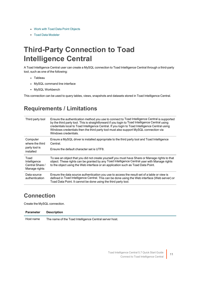- Work with Toad Data Point [Objects](#page-17-1)
- <span id="page-10-0"></span>• Toad Data [Modeler](#page-22-0)

## **Third-Party Connection to Toad Intelligence Central**

A Toad Intelligence Central user can create a MySQL connection to Toad Intelligence Central through a third-party tool, such as one of the following:

- Tableau
- MySQL command line interface
- MySQL Workbench

<span id="page-10-1"></span>This connection can be used to query tables, views, snapshots and datasets stored in Toad Intelligence Central.

### **Requirements / Limitations**

| Third party tool                                         | Ensure the authentication method you use to connect to Toad Intelligence Central is supported<br>by the third party tool. This is straightforward if you login to Toad Intelligence Central using<br>credentials local to Toad Intelligence Central. If you login to Toad Intelligence Central using<br>Windows credentials then the third party tool must also support MySQL connection via<br>Windows credentials. |
|----------------------------------------------------------|----------------------------------------------------------------------------------------------------------------------------------------------------------------------------------------------------------------------------------------------------------------------------------------------------------------------------------------------------------------------------------------------------------------------|
| Computer<br>where the third                              | Ensure a MySQL driver is installed appropriate to the third party tool and Toad Intelligence<br>Central.                                                                                                                                                                                                                                                                                                             |
| party tool is<br>installed                               | Ensure the default character set is UTF8.                                                                                                                                                                                                                                                                                                                                                                            |
| Toad<br>Intelligence<br>Central Share /<br>Manage rights | To see an object that you did not create yourself you must have Share or Manage rights to that<br>object. These rights can be granted by any Toad Intelligence Central user with Manage rights<br>to the object using the Web interface or an application such as Toad Data Point.                                                                                                                                   |
| Data source<br>authentication                            | Ensure the data source authentication you use to access the result set of a table or view is<br>defined in Toad Intelligence Central. This can be done using the Web interface (Web server) or<br>Toad Data Point. It cannot be done using the third party tool.                                                                                                                                                     |

### <span id="page-10-2"></span>**Connection**

Create the MySQL connection.

| <b>Parameter</b> | <b>Description</b> |
|------------------|--------------------|
|------------------|--------------------|

Host name The name of the Toad Intelligence Central server host.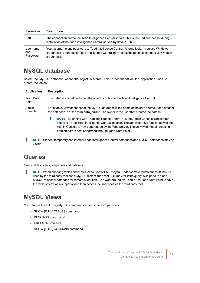| <b>Parameter</b>            | <b>Description</b>                                                                                                                                                                                              |
|-----------------------------|-----------------------------------------------------------------------------------------------------------------------------------------------------------------------------------------------------------------|
| Port                        | The connection port to the Toad Intelligence Central server. This is the Port number set during<br>installation of the Toad Intelligence Central server, by default 3566.                                       |
| Username<br>and<br>Password | Your username and password to Toad Intelligence Central. Alternatively, if you use Windows<br>credentials to connect to Toad Intelligence Central then select the option to connect via Windows<br>credentials. |

### <span id="page-11-0"></span>**MySQL database**

Select the MySQL database where the object is stored. This is dependent on the application used to create the object.

| <b>Application</b>        | <b>Description</b>                                                                                                                                                                                                                                                                                                                   |
|---------------------------|--------------------------------------------------------------------------------------------------------------------------------------------------------------------------------------------------------------------------------------------------------------------------------------------------------------------------------------|
| <b>Toad Data</b><br>Point | The database is defined when the object is published to Toad Intelligence Central.                                                                                                                                                                                                                                                   |
| Admin<br>Console          | For a table, view or snapshot the MySQL database is the name of the data source. For a dataset<br>the database is of the form <b>data</b> owner. The owner is the user that created the dataset.                                                                                                                                     |
|                           | NOTE: Beginning with Toad Intelligence Central 4.3, the Admin Console is no longer<br>installed by the Toad Intelligence Central Installer. The administrative functionality of the<br>Admin Console is now superseded by the Web Server. The activity of mapping/editing<br>data objects is best performed through Toad Data Point. |
| visible.                  | NOTE: Hidden, temporary and internal Toad Intelligence Central databases and MySQL databases may be                                                                                                                                                                                                                                  |

### <span id="page-11-1"></span>**Queries**

Query tables, views, snapshots and datasets.

i. **NOTE:** When querying tables and views, execution of SQL may fail under some circumstances. If the SQL used by the third party tool has a MySQL dialect, then that SQL may fail if the query is shipped to a non-MySQL relational database for remote execution. As a workaround, you could use Toad Data Point to save the table or view as a snapshot and then access the snapshot via the third party tool.

### <span id="page-11-2"></span>**MySQL Views**

You can use the following MySQL commands to verify the third party tool.

- SHOW [FULL] TABLES command
- DESC[RIBE] command
- EXPLAIN command
- SHOW [FULL] COLUMNS command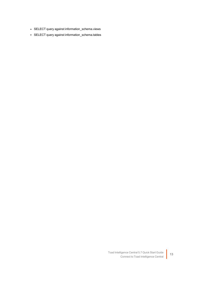- SELECT query against information\_schema.views
- SELECT query against information\_schema.tables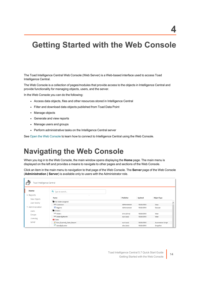<span id="page-13-0"></span>The Toad Intelligence Central Web Console (Web Server) is a Web-based interface used to access Toad Intelligence Central.

The Web Console is a collection of pages/modules that provide access to the objects in Intelligence Central and provide functionality for managing objects, users, and the server.

In the Web Console you can do the following:

- Access data objects, files and other resources stored in Intelligence Central
- Filter and download data objects published from Toad Data Point
- Manage objects
- Generate and view reports
- Manage users and groups
- Perform administrative tasks on the Intelligence Central server

<span id="page-13-1"></span>See Open the Web [Console](#page-9-0) to learn how to connect to Intelligence Central using the Web Console.

## **Navigating the Web Console**

When you log in to the Web Console, the main window opens displaying the **Home** page. The main menu is displayed on the left and provides a means to navigate to other pages and sections of the Web Console.

Click an item in the main menu to navigation to that page of the Web Console. The **Server** page of the Web Console (**Administration | Server**) is available only to users with the Administrator role.

| $\mathcal{S}$<br>Toad Intelligence Central |                            |               |               |            |                    |          |
|--------------------------------------------|----------------------------|---------------|---------------|------------|--------------------|----------|
| Home                                       | Q Type to search           |               |               |            |                    |          |
| × Reports                                  | $\cdot$                    |               |               |            |                    |          |
| Data Objects                               | Name                       | Publisher     |               | Updated    | <b>Object Type</b> |          |
| User Activity                              | No folder assigned         |               |               |            |                    | $\hat{}$ |
|                                            | 60 Customers               |               | Administrator | 10/26/2018 | View               |          |
| ▼ Administration                           | <b>Regions</b>             |               | Administrator | 10/26/2018 | Dataset            |          |
| <b>Users</b>                               | <b>D</b> Orders            |               |               |            |                    |          |
| Groups                                     | မ်ခဲ Orders                | chris (chris) |               | 10/26/2018 | View               |          |
|                                            | 6-à OrdersByMonth          | suzi (suzi)   |               | 10/26/2018 | View               |          |
| Licensing                                  | Sales                      |               |               |            |                    |          |
| Server                                     | Run_Quarterly_Sales_Report | suzi (suzi)   |               | 10/26/2018 | Automation Script  |          |
|                                            | SalesByQuarter             | alex (alex)   |               | 10/26/2018 | Snapshot           |          |

**4**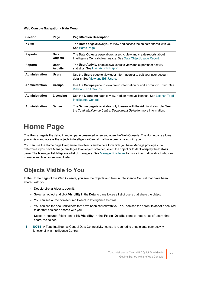#### **Web Console Navigation - Main Menu**

| <b>Section</b>        | Page                           | <b>Page/Section Description</b>                                                                                                                     |
|-----------------------|--------------------------------|-----------------------------------------------------------------------------------------------------------------------------------------------------|
| Home                  |                                | The <b>Home</b> page allows you to view and access the objects shared with you.<br>See Home Page.                                                   |
| <b>Reports</b>        | Data<br><b>Objects</b>         | The <b>Data Objects</b> page allows users to view and create reports about<br>Intelligence Central object usage. See Data Object Usage Report.      |
| <b>Reports</b>        | <b>User</b><br><b>Activity</b> | The User Activity page allows users to view and export user activity<br>statistics. See User Activity Report.                                       |
| Administration        | <b>Users</b>                   | Use the Users page to view user information or to edit your user account<br>details. See View and Edit Users.                                       |
| <b>Administration</b> | <b>Groups</b>                  | Use the <b>Groups</b> page to view group information or edit a group you own. See<br>View and Edit Groups.                                          |
| <b>Administration</b> | Licensing                      | Use the Licensing page to view, add, or remove licenses. See License Toad<br>Intelligence Central.                                                  |
| <b>Administration</b> | Server                         | The Server page is available only to users with the Administrator role. See<br>the Toad Intelligence Central Deployment Guide for more information. |

## <span id="page-14-0"></span>**Home Page**

The **Home** page is the default landing page presented when you open the Web Console. The Home page allows you to view and access the objects in Intelligence Central that have been shared with you.

You can use the Home page to organize the objects and folders for which you have Manage privileges. To determine if you have Manage privileges to an object or folder, select the object or folder to display the **Details** pane. The **Manager** field displays a list of managers. See Manager [Privileges](#page-45-0) for more information about who can manage an object or secured folder.

### <span id="page-14-1"></span>**Objects Visible to You**

In the **Home** page of the Web Console, you see the objects and files in Intelligence Central that have been shared with you.

- Double-click a folder to open it.
- <sup>l</sup> Select an object and click **Visibility** in the **Details** pane to see a list of users that share the object.
- You can see all the non-secured folders in Intelligence Central.
- You can see the secured folders that have been shared with you. You can see the parent folder of a secured folder that has been shared with you.
- <sup>l</sup> Select a secured folder and click **Visibility** in the **Folder Details** pane to see a list of users that share the folder.
- **NOTE:** A Toad Intelligence Central Data Connectivity license is required to enable data connectivity i functionality in Intelligence Central.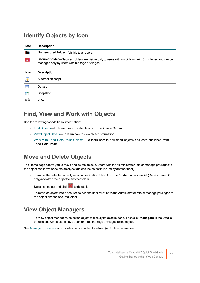### <span id="page-15-0"></span>**Identify Objects by Icon**

| <b>Icon</b> | <b>Description</b>                                                                                                                                                |
|-------------|-------------------------------------------------------------------------------------------------------------------------------------------------------------------|
|             | Non-secured folder-Visible to all users.                                                                                                                          |
|             | <b>Secured folder</b> —Secured folders are visible only to users with visibility (sharing) privileges and can be<br>managed only by users with manage privileges. |
| <b>Icon</b> | <b>Description</b>                                                                                                                                                |
| 。           | Automation script                                                                                                                                                 |
| 噩           | Dataset                                                                                                                                                           |
|             | Snapshot                                                                                                                                                          |
| 62          | View                                                                                                                                                              |

### <span id="page-15-1"></span>**Find, View and Work with Objects**

See the following for additional information:

- Find [Objects](#page-23-1)—To learn how to locate objects in Intelligence Central
- View Object [Details](#page-24-0)—To learn how to view object information
- Work with Toad Data Point [Objects](#page-17-1)—To learn how to download objects and data published from Toad Data Point

### <span id="page-15-2"></span>**Move and Delete Objects**

The Home page allows you to move and delete objects. Users with the Administrator role or manage privileges to the object can move or delete an object (unless the object is locked by another user).

- <sup>l</sup> To move the selected object, select a destination folder from the **Folder** drop-down list (Details pane). Or drag-and-drop the object to another folder.
- $\cdot$  Select an object and click  $\sim$  to delete it.
- To move an object into a secured folder, the user must have the Administrator role or manage privileges to the object and the secured folder.

### <span id="page-15-3"></span>**View Object Managers**

<sup>l</sup> To view object managers, select an object to display its **Details** pane. Then click **Managers** in the Details pane to see which users have been granted manage privileges to the object.

See Manager [Privileges](#page-45-0) for a list of actions enabled for object (and folder) managers.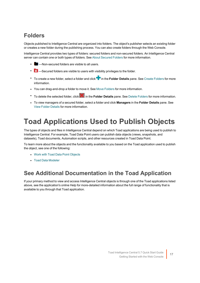### <span id="page-16-0"></span>**Folders**

Objects published to Intelligence Central are organized into folders. The object's publisher selects an existing folder or creates a new folder during the publishing process. You can also create folders through the Web Console.

Intelligence Central provides two types of folders: secured folders and non-secured folders. An Intelligence Central server can contain one or both types of folders. See About [Secured](#page-41-0) Folders for more information.

- -Non-secured folders are visible to all users.
- **-Secured folders are visible to users with visibility privileges to the folder.**
- **To create a new folder, select a folder and click in the Folder Details pane. See Create [Folders](#page-39-0) for more** information.
- You can drag-and-drop a folder to move it. See Move [Folders](#page-40-0) for more information.
- **•** To delete the selected folder, click **in** the **Folder Details** pane. See Delete [Folders](#page-40-1) for more information.
- <sup>l</sup> To view managers of a secured folder, select a folder and click **Managers** in the **Folder Details** pane. See View Folder [Details](#page-40-2) for more information.

## <span id="page-16-1"></span>**Toad Applications Used to Publish Objects**

The types of objects and files in Intelligence Central depend on which Toad applications are being used to publish to Intelligence Central. For example, Toad Data Point users can publish data objects (views, snapshots, and datasets), Toad documents, Automation scripts, and other resources created in Toad Data Point.

To learn more about the objects and the functionality available to you based on the Toad application used to publish the object, see one of the following:

- Work with Toad Data Point [Objects](#page-17-1)
- <span id="page-16-2"></span>• Toad Data [Modeler](#page-22-0)

### **See Additional Documentation in the Toad Application**

If your primary method to view and access Intelligence Central objects is through one of the Toad applications listed above, see the application's online Help for more-detailed information about the full range of functionality that is available to you through that Toad application.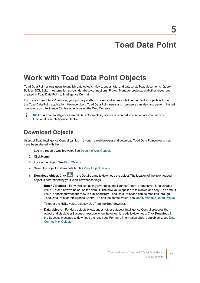## **Toad Data Point**

## <span id="page-17-1"></span><span id="page-17-0"></span>**Work with Toad Data Point Objects**

Toad Data Point allows users to publish data objects (views, snapshots, and datasets), Toad documents (Query Builder, SQL Editor), Automation scripts, database connections, Project Manager projects, and other resources created in Toad Data Point to Intelligence Central.

If you are a Toad Data Point user, your primary method to view and access Intelligence Central objects is through the Toad Data Point application. However, both Toad Data Point users and non-users can view and perform limited operations on Intelligence Central objects using the Web Console.

**NOTE:** A Toad Intelligence Central Data Connectivity license is required to enable data connectivity **functionality in Intelligence Central.** 

### <span id="page-17-2"></span>**Download Objects**

Users of Toad Intelligence Central can log in through a web browser and download Toad Data Point objects that have been shared with them.

- 1. Log in through a web browser. See Open the Web [Console.](#page-9-0)
- 2. Click **Home**.
- 3. Locate the object. See Find [Objects](#page-23-1).
- 4. Select the object to show details. See View Object [Details.](#page-24-0)
- 5. **Download object.** Click in the Details pane to download the object. The location of the downloaded object is determined by your Web-browser settings.
	- **Enter Variables**—For views containing a variable, Intelligence Central prompts you for a variable value. Enter a new value or use the default. The new value applies to this download only. The default value is specified when the view is published from Toad Data Point and can be modified through Toad Data Point or Intelligence Central. To edit the default value, see Modify [Variable](#page-32-0) Default Value.

To enter the NULL value, select NULL from the drop-down list.

**· Data objects—For data objects (view, snapshot, or dataset), Intelligence Central prepares the** object and displays a Success message when the object is ready to download. Click **Download** in the Success message to download the result set. For more information about data objects, see [Data](#page-33-0) [Connectivity](#page-33-0) Objects.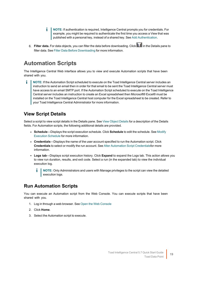- f. **NOTE:** If authentication is required, Intelligence Central prompts you for credentials. For example, you might be required to authenticate the first time you access a View that was published with a personal key, instead of a shared key. See Add [Authentication](#page-21-0).
- 6. **Filter data.** For data objects, you can filter the data before downloading. Click in the Details pane to filter data. See Filter Data Before [Downloading](#page-20-0) for more information.

### <span id="page-18-0"></span>**Automation Scripts**

The Intelligence Central Web interface allows you to view and execute Automation scripts that have been shared with you.

f. **NOTE:** If the Automation Script scheduled to execute on the Toad Intelligence Central server includes an instruction to send an email then in order for that email to be sent the Toad Intelligence Central server must have access to an email SMTP port. If the Automation Script scheduled to execute on the Toad Intelligence Central server includes an instruction to create an Excel spreadsheet then Microsoft® Excel® must be installed on the Toad Intelligence Central host computer for the Excel spreadsheet to be created. Refer to your Toad Intelligence Central Administrator for more information.

### <span id="page-18-1"></span>**View Script Details**

Select a script to view script details in the Details pane. See View Object [Details](#page-24-0) for a description of the Details fields. For Automation scripts, the following additional details are provided.

- <sup>l</sup> **Schedule**—Displays the script execution schedule. Click **Schedule** to edit the schedule. See [Modify](#page-31-1) [Execution](#page-31-1) Schedule for more information.
- **Credentials**—Displays the name of the user account specified to run the Automation script. Click **Credentials** to select or modify the run account. See Alter Automation Script [Credentialsf](#page-31-2)or more information.
- **Logs tab**—Displays script execution history. Click **Expand** to expand the Logs tab. This action allows you to view run duration, results, and exit code. Select a run (in the expanded tab) to view the individual execution log.
	- **NOTE:** Only Administrators and users with Manage privileges to the script can view the detailed execution logs.

### <span id="page-18-2"></span>**Run Automation Scripts**

You can execute an Automation script from the Web Console. You can execute scripts that have been shared with you.

- 1. Log in through a web browser. See Open the Web [Console](#page-9-0)
- 2. Click **Home**.
- 3. Select the Automation script to execute.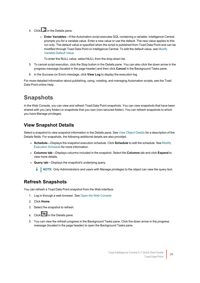- 4. Click in the Details pane.
	- <sup>l</sup> **Enter Variables**—If the Automation script executes SQL containing a variable, Intelligence Central prompts you for a variable value. Enter a new value or use the default. The new value applies to this run only. The default value is specified when the script is published from Toad Data Point and can be modified through Toad Data Point or Intelligence Central. To edit the default value, see [Modify](#page-32-0) [Variable](#page-32-0) Default Value.

To enter the NULL value, select NULL from the drop-down list.

- 5. To cancel script execution, click the Stop button in the Details pane. You can also click the down arrow in the progress message (located in the page header) and then click **Cancel** in the Background Tasks pane.
- 6. In the Success (or Error) message, click **View Log** to display the execution log.

For more-detailed information about publishing, using, creating, and managing Automation scripts, see the Toad Data Point online Help.

### <span id="page-19-0"></span>**Snapshots**

In the Web Console, you can view and refresh Toad Data Point snapshots. You can view snapshots that have been shared with you (any folder) or snapshots that you own (non-secured folder). You can refresh snapshots to which you have Manage privileges.

### <span id="page-19-1"></span>**View Snapshot Details**

Select a snapshot to view snapshot information in the Details pane. See View Object [Details](#page-24-0) for a description of the Details fields. For snapshots, the following additional details are also provided.

- **· Schedule**—Displays the snapshot execution schedule. Click **Schedule** to edit the schedule. See [Modify](#page-31-1) [Execution](#page-31-1) Schedule for more information.
- <sup>l</sup> **Columns tab**—Displays columns included in the snapshot. Select the **Columns** tab and click **Expand** to view more details.
- <sup>l</sup> **Query tab**—Displays the snapshot's underlying query.
	- **i** | NOTE: Only Administrators and users with Manage privileges to the object can view the query text.

### <span id="page-19-2"></span>**Refresh Snapshots**

You can refresh a Toad Data Point snapshot from the Web interface.

- 1. Log in through a web browser. See Open the Web [Console](#page-9-0)
- 2. Click **Home**.
- 3. Select the snapshot to refresh.
- 4. Click  $\overline{G}$  in the Details pane.
- 5. You can view the refresh progress in the Background Tasks pane. Click the down arrow in the progress message (located in the page header) to open the Background Tasks pane.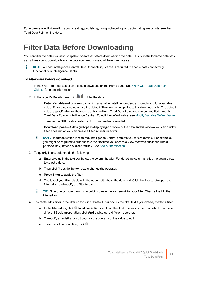<span id="page-20-0"></span>For more-detailed information about creating, publishing, using, scheduling, and automating snapshots, see the Toad Data Point online Help.

## **Filter Data Before Downloading**

You can filter the data in a view, snapshot, or dataset before downloading the data. This is useful for large data sets as it allows you to download only the data you need, instead of the entire data set.

**NOTE:** A Toad Intelligence Central Data Connectivity license is required to enable data connectivity functionality in Intelligence Central.

#### *To filter data before download*

- 1. In the Web interface, select an object to download on the Home page. See [Work](#page-17-1) with Toad Data Point [Objects](#page-17-1) for more information.
- 2. In the object's Details pane, click  $\blacksquare$  to filter the data.
	- **Enter Variables**—For views containing a variable, Intelligence Central prompts you for a variable value. Enter a new value or use the default. The new value applies to this download only. The default value is specified when the view is published from Toad Data Point and can be modified through Toad Data Point or Intelligence Central. To edit the default value, see Modify [Variable](#page-32-0) Default Value.

To enter the NULL value, select NULL from the drop-down list.

- <sup>l</sup> **Download pane**—A data grid opens displaying a preview of the data. In this window you can quickly filter a column or you can create a filter in the filter editor.
- **NOTE:** If authentication is required, Intelligence Central prompts you for credentials. For example, you might be required to authenticate the first time you access a View that was published with a personal key, instead of a shared key. See Add [Authentication.](#page-21-0)
- 3. To quickly filter a column, do the following:
	- a. Enter a value in the text box below the column header. For date/time columns, click the down-arrow to select a date.
	- b. Then click  $\widehat{\mathsf{T}}$  beside the text box to change the operator.
	- c. Press **Enter** to apply the filter.
	- d. The text of your filter displays in the upper-left, above the data grid. Click the filter text to open the filter editor and modify the filter further.
	- **TIP:** Filter one or more columns to quickly create the framework for your filter. Then refine it in the filter editor.
- 4. To create/edit a filter in the filter editor, click **Create Filter** or click the filter text if you already started a filter.
	- a. In the filter editor, click <sup>to</sup> to add an initial condition. The **And** operator is used by default. To use a different Boolean operation, click **And** and select a different operator.
	- b. To modify an existing condition, click the operator or the value to edit it.
	- c. To add another condition, click  $\bullet$ .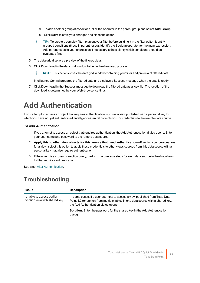- d. To add another group of conditions, click the operator in the parent group and select **Add Group**.
- e. Click **Save** to save your changes and close the editor.
- **TIP:** To create a complex filter, plan out your filter before building it in the filter editor. Identify grouped conditions (those in parentheses). Identify the Boolean operator for the main expression. Add parentheses to your expression if necessary to help clarify which conditions should be evaluated first.
- 5. The data grid displays a preview of the filtered data.
- 6. Click **Download** in the data grid window to begin the download process.
	- **i** NOTE: This action closes the data grid window containing your filter and preview of filtered data.

Intelligence Central prepares the filtered data and displays a Success message when the data is ready.

7. Click **Download** in the Success message to download the filtered data as a .csv file. The location of the download is determined by your Web-browser settings.

## <span id="page-21-0"></span>**Add Authentication**

If you attempt to access an object that requires authentication, such as a view published with a personal key for which you have not yet authenticated, Intelligence Central prompts you for credentials to the remote data source.

### *To add Authentication*

- 1. If you attempt to access an object that requires authentication, the Add Authentication dialog opens. Enter your user name and password to the remote data source.
- 2. **Apply this to other view objects for this source that need authentication**—If setting your personal key for a view, select this option to apply these credentials to other views sourced from this data source with a personal key that also require authentication
- 3. If the object is a cross-connection query, perform the previous steps for each data source in the drop-down list that requires authentication.

<span id="page-21-1"></span>See also, Alter [Authentication.](#page-30-0)

### **Troubleshooting**

| <b>Issue</b>                                             | <b>Description</b>                                                                                                                                                                                       |
|----------------------------------------------------------|----------------------------------------------------------------------------------------------------------------------------------------------------------------------------------------------------------|
| Unable to access earlier<br>version view with shared key | In some cases, if a user attempts to access a view published from Toad Data<br>Point 4.2 (or earlier) from multiple tables in one data source with a shared key,<br>the Add Authentication dialog opens. |
|                                                          | <b>Solution:</b> Enter the password for the shared key in the Add Authentication<br>dialog.                                                                                                              |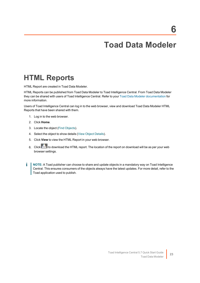## **Toad Data Modeler**

## <span id="page-22-1"></span><span id="page-22-0"></span>**HTML Reports**

HTML Report are created in Toad Data Modeler.

HTML Reports can be published from Toad Data Modeler to Toad Intelligence Central. From Toad Data Modeler they can be shared with users of Toad Intelligence Central. Refer to your Toad Data Modeler [documentation](http://support.quest.com/technical-documents/toad-data-modeler/) for more information.

Users of Toad Intelligence Central can log in to the web browser, view and download Toad Data Modeler HTML Reports that have been shared with them.

- 1. Log in to the web browser.
- 2. Click **Home**.
- 3. Locate the object (Find [Objects\)](#page-23-1).
- 4. Select the object to show details (View Object [Details](#page-24-0)).
- 5. Click **View** to view the HTML Report in your web browser.
- 6. Click to download the HTML report. The location of the report on download will be as per your web browser settings.
- i **NOTE:** A Toad publisher can choose to share and update objects in a mandatory way on Toad Intelligence Central. This ensures consumers of the objects always have the latest updates. For more detail, refer to the Toad application used to publish.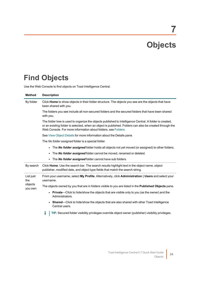# **Objects**

**7**

## <span id="page-23-1"></span><span id="page-23-0"></span>**Find Objects**

Use the Web Console to find objects on Toad Intelligence Central.

| <b>Method</b>                          | <b>Description</b>                                                                                                                                                                                                                                                                  |  |  |  |
|----------------------------------------|-------------------------------------------------------------------------------------------------------------------------------------------------------------------------------------------------------------------------------------------------------------------------------------|--|--|--|
| By folder                              | Click Home to show objects in their folder structure. The objects you see are the objects that have<br>been shared with you.                                                                                                                                                        |  |  |  |
|                                        | The folders you see include all non-secured folders and the secured folders that have been shared<br>with you.                                                                                                                                                                      |  |  |  |
|                                        | The folder tree is used to organize the objects published to Intelligence Central. A folder is created,<br>or an existing folder is selected, when an object is published. Folders can also be created through the<br>Web Console. For more information about folders, see Folders. |  |  |  |
|                                        | See View Object Details for more information about the Details pane.                                                                                                                                                                                                                |  |  |  |
|                                        | The No folder assigned folder is a special folder.                                                                                                                                                                                                                                  |  |  |  |
|                                        | The No folder assigned folder holds all objects not yet moved (or assigned) to other folders.<br>$\bullet$                                                                                                                                                                          |  |  |  |
|                                        | The <b>No folder assigned</b> folder cannot be moved, renamed or deleted.<br>$\bullet$                                                                                                                                                                                              |  |  |  |
|                                        | The No folder assigned folder cannot have sub folders.                                                                                                                                                                                                                              |  |  |  |
| By search                              | Click Home. Use the search bar. The search results highlight text in the object name, object<br>publisher, modified date, and object type fields that match the search string.                                                                                                      |  |  |  |
| List just<br>the<br>objects<br>you own | From your username, select My Profile. Alternatively, click Administration   Users and select your<br>username.                                                                                                                                                                     |  |  |  |
|                                        | The objects owned by you that are in folders visible to you are listed in the <b>Published Objects</b> pane.                                                                                                                                                                        |  |  |  |
|                                        | <b>Private—Click to hide/show the objects that are visible only to you (as the owner) and the</b><br>Administrators.                                                                                                                                                                |  |  |  |
|                                        | • Shared—Click to hide/show the objects that are also shared with other Toad Intelligence<br>Central users.                                                                                                                                                                         |  |  |  |
|                                        | TIP: Secured folder visibility privileges override object owner (publisher) visibility privileges.<br>Т                                                                                                                                                                             |  |  |  |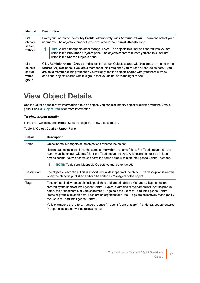| <b>Method</b>                                | <b>Description</b>                                                                                                                                                                                                                                                                                                                                                                                        |  |
|----------------------------------------------|-----------------------------------------------------------------------------------------------------------------------------------------------------------------------------------------------------------------------------------------------------------------------------------------------------------------------------------------------------------------------------------------------------------|--|
| List<br>objects<br>shared<br>with you        | From your username, select My Profile. Alternatively, click Administration   Users and select your<br>username. The objects shared with you are listed in the <b>Shared Objects</b> pane.                                                                                                                                                                                                                 |  |
|                                              | TIP: Select a username other than your own. The objects this user has shared with you are<br>listed in the Published Objects pane. The objects shared with both you and this user are<br>listed in the Shared Objects pane.                                                                                                                                                                               |  |
| List<br>objects<br>shared<br>with a<br>group | Click <b>Administration</b>   Groups and select the group. Objects shared with this group are listed in the<br>Shared Objects pane. If you are a member of this group then you will see all shared objects. If you<br>are not a member of this group then you will only see the objects shared with you; there may be<br>additional objects shared with this group that you do not have the right to see. |  |

## <span id="page-24-0"></span>**View Object Details**

Use the Details pane to view information about an object. You can also modify object properties from the Details pane. See Edit Object [Details](#page-27-0) for more information.

### *To view object details*

In the Web Console, click **Home**. Select an object to show object details.

### **Table 1: Object Details - Upper Pane**

| <b>Detail</b> | <b>Description</b>                                                                                                                                                                                                                                                                                                                                                                                                                           |  |  |
|---------------|----------------------------------------------------------------------------------------------------------------------------------------------------------------------------------------------------------------------------------------------------------------------------------------------------------------------------------------------------------------------------------------------------------------------------------------------|--|--|
| Name          | Object name. Managers of the object can rename the object.                                                                                                                                                                                                                                                                                                                                                                                   |  |  |
|               | No two data objects can have the same name within the same folder. For Toad documents, the<br>name must be unique within a folder per Toad document type. A script name must be unique<br>among scripts. No two scripts can have the same name within an Intelligence Central instance.                                                                                                                                                      |  |  |
|               | NOTE: Tables and Mappable Objects cannot be renamed.<br>Ť                                                                                                                                                                                                                                                                                                                                                                                    |  |  |
| Description   | The object's description. This is a short textual description of the object. The description is written<br>when the object is published and can be edited by Managers of the object.                                                                                                                                                                                                                                                         |  |  |
| Tags          | Tags are applied when an object is published and are editable by Managers. Tag names are<br>created by the users of Intelligence Central. Typical examples of tag names include: the product<br>name, the project name, or version number. Tags help the users of Toad Intelligence Central<br>locate or group similar objects. Tags are an organizational tool. Tags are collectively managed by<br>the users of Toad Intelligence Central. |  |  |
|               | Valid characters are letters, numbers, space (), dash (-), underscore () or dot (.). Letters entered<br>in upper case are converted to lower case.                                                                                                                                                                                                                                                                                           |  |  |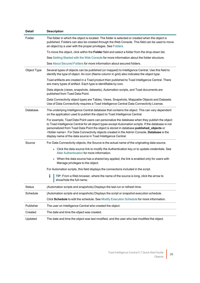| <b>Detail</b> | <b>Description</b>                                                                                                                                                                                                                                                                                                                                                                                                                                                         |  |
|---------------|----------------------------------------------------------------------------------------------------------------------------------------------------------------------------------------------------------------------------------------------------------------------------------------------------------------------------------------------------------------------------------------------------------------------------------------------------------------------------|--|
| Folder        | The folder in which the object is located. The folder is selected or created when the object is<br>published. Folders can also be created through the Web Console. This field can be used to move<br>an object by a user with the proper privileges. See Folders.                                                                                                                                                                                                          |  |
|               | To move the object, click within the Folder field and select a folder from the drop-down list.                                                                                                                                                                                                                                                                                                                                                                             |  |
|               | See Getting Started with the Web Console for more information about the folder structure.                                                                                                                                                                                                                                                                                                                                                                                  |  |
|               | See About Secured Folders for more information about secured folders.                                                                                                                                                                                                                                                                                                                                                                                                      |  |
| Object Type   | Several types of objects can be published (or mapped) to Intelligence Central. Use this field to<br>identify the type of object. An icon (Name column in grid) also indicates the object type.                                                                                                                                                                                                                                                                             |  |
|               | Toad artifacts are created in a Toad product then published to Toad Intelligence Central. There<br>are many types of artifact. Each type is identifiable by icon.                                                                                                                                                                                                                                                                                                          |  |
|               | Data objects (views, snapshots, datasets), Automation scripts, and Toad documents are<br>published from Toad Data Point.                                                                                                                                                                                                                                                                                                                                                   |  |
|               | Data Connectivity object types are Tables, Views, Snapshots, Mappable Objects and Datasets.<br>Use of Data Connectivity requires a Toad Intelligence Central Data Connectivity License.                                                                                                                                                                                                                                                                                    |  |
| Database      | The underlying Intelligence Central database that contains the object. This can vary dependent<br>on the application used to publish the object to Toad Intelligence Central.                                                                                                                                                                                                                                                                                              |  |
|               | For example, Toad Data Point users can personalize the database when they publish the object<br>to Toad Intelligence Central for all object types except Automation scripts. If the database is not<br>personalized from Toad Data Point the object is stored in database published_objects or<br><folder name="">. For Data Connectivity objects created in the Admin Console, Database is the<br/>display name of the data source in Toad Intelligence Central.</folder> |  |
| Source        | For Data Connectivity objects, the Source is the actual name of the originating data source.                                                                                                                                                                                                                                                                                                                                                                               |  |
|               | • Click the data source link to modify the Authentication key or to update credentials. See<br>Alter Authentication for more information.                                                                                                                                                                                                                                                                                                                                  |  |
|               | • When the data source has a shared key applied, the link is enabled only for users with<br>Manage privileges to the object.                                                                                                                                                                                                                                                                                                                                               |  |
|               | For Automation scripts, this field displays the connections included in the script.                                                                                                                                                                                                                                                                                                                                                                                        |  |
|               | i<br>TIP: From a Web browser, where the name of the source is long, click the arrow to<br>show/hide the full name.                                                                                                                                                                                                                                                                                                                                                         |  |
| <b>Status</b> | (Automation scripts and snapshots) Displays the last run or refresh time.                                                                                                                                                                                                                                                                                                                                                                                                  |  |
| Schedule      | (Automation scripts and snapshots) Displays the script or snapshot execution schedule.                                                                                                                                                                                                                                                                                                                                                                                     |  |
|               | Click Schedule to edit the schedule. See Modify Execution Schedule for more information.                                                                                                                                                                                                                                                                                                                                                                                   |  |
| Publisher     | The user on Intelligence Central who created the object.                                                                                                                                                                                                                                                                                                                                                                                                                   |  |
| Created       | The date and time the object was created.                                                                                                                                                                                                                                                                                                                                                                                                                                  |  |
| Updated       | The date and time the object was last modified, and the user who last modified the object.                                                                                                                                                                                                                                                                                                                                                                                 |  |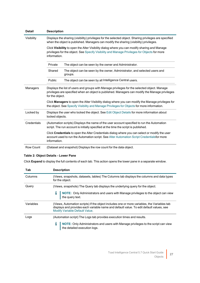| <b>Detail</b>    | <b>Description</b>                                                                                                                                                                                                 |                                                                                                                                                                                              |  |
|------------------|--------------------------------------------------------------------------------------------------------------------------------------------------------------------------------------------------------------------|----------------------------------------------------------------------------------------------------------------------------------------------------------------------------------------------|--|
| Visibility       | Displays the sharing (visibility) privileges for the selected object. Sharing privileges are specified<br>when the object is published. Managers can modify the sharing (visibility) privileges.                   |                                                                                                                                                                                              |  |
|                  | Click Visibility to open the Alter Visibility dialog where you can modify sharing and Manage<br>privileges for the object. See Specify Visibility and Manage Privileges for Objects for more<br>information.       |                                                                                                                                                                                              |  |
|                  | The object can be seen by the owner and Administrator.<br>Private                                                                                                                                                  |                                                                                                                                                                                              |  |
|                  | Shared<br>The object can be seen by the owner, Administrator, and selected users and<br>groups.                                                                                                                    |                                                                                                                                                                                              |  |
|                  | Public                                                                                                                                                                                                             | The object can be seen by all Intelligence Central users.                                                                                                                                    |  |
| Managers         | Displays the list of users and groups with Manage privileges for the selected object. Manage<br>privileges are specified when an object is published. Managers can modify the Manage privileges<br>for the object. |                                                                                                                                                                                              |  |
|                  | Click <b>Managers</b> to open the Alter Visibility dialog where you can modify the Manage privileges for<br>the object. See Specify Visibility and Manage Privileges for Objects for more information.             |                                                                                                                                                                                              |  |
| Locked by        | Displays the user who locked the object. See Edit Object Details for more information about<br>locked objects.                                                                                                     |                                                                                                                                                                                              |  |
| Credentials      | (Automation scripts) Displays the name of the user account specified to run the Automation<br>script. The run account is initially specified at the time the script is published.                                  |                                                                                                                                                                                              |  |
|                  | information.                                                                                                                                                                                                       | Click Credentials to open the Alter Credentials dialog where you can select or modify the user<br>account used to run the Automation script. See Alter Automation Script Credentialsfor more |  |
| <b>Row Count</b> | (Dataset and snapshot) Displays the row count for the data object.                                                                                                                                                 |                                                                                                                                                                                              |  |

### **Table 2: Object Details - Lower Pane**

Click **Expand** to display the full contents of each tab. This action opens the lower pane in a separate window.

| Tab       | <b>Description</b>                                                                                                                                                                                                       |  |  |
|-----------|--------------------------------------------------------------------------------------------------------------------------------------------------------------------------------------------------------------------------|--|--|
| Columns   | (Views, snapshots, datasets, tables) The Columns tab displays the columns and data types<br>for the object.                                                                                                              |  |  |
| Query     | (Views, snapshots) The Query tab displays the underlying query for the object.                                                                                                                                           |  |  |
|           | NOTE: Only Administrators and users with Manage privileges to the object can view<br>the query text.                                                                                                                     |  |  |
| Variables | (Views, Automation scripts) If the object includes one or more variables, the Variables tab<br>displays and provides each variable name and default value. To edit default values, see<br>Modify Variable Default Value. |  |  |
| Logs      | (Automation script) The Logs tab provides execution times and results.                                                                                                                                                   |  |  |
|           | NOTE: Only Administrators and users with Manage privileges to the script can view the detailed execution logs.                                                                                                           |  |  |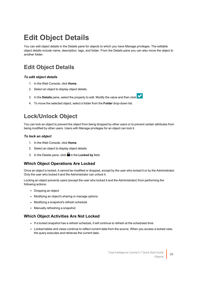## <span id="page-27-0"></span>**Edit Object Details**

You can edit object details in the Details pane for objects to which you have Manage privileges. The editable object details include name, description, tags, and folder. From the Details pane you can also move the object to another folder.

### <span id="page-27-1"></span>**Edit Object Details**

### *To edit object details*

- 1. In the Web Console, click **Home**.
- 2. Select an object to display object details.
- 3. In the **Details** pane, select the property to edit. Modify the value and then click **1**.



<span id="page-27-2"></span>4. To move the selected object, select a folder from the **Folder** drop-down list.

### **Lock/Unlock Object**

You can lock an object to prevent the object from being dropped by other users or to prevent certain attributes from being modified by other users. Users with Manage privileges for an object can lock it.

### *To lock an object*

- 1. In the Web Console, click **Home**.
- 2. Select an object to display object details.
- 3. In the Details pane, click **in** the **Locked by** field.

### **Which Object Operations Are Locked**

Once an object is locked, it cannot be modified or dropped, except by the user who locked it or by the Administrator. Only the user who locked it and the Administrator can unlock it.

Locking an object prevents users (except the user who locked it and the Administrator) from performing the following actions:

- Dropping an object
- Modifying an object's sharing or manage options
- Modifying a snapshot's refresh schedule
- Manually refreshing a snapshot

### **Which Object Activities Are Not Locked**

- If a locked snapshot has a refresh schedule, it will continue to refresh at the scheduled time.
- Locked tables and views continue to reflect current data from the source. When you access a locked view, the query executes and retrieves the current data.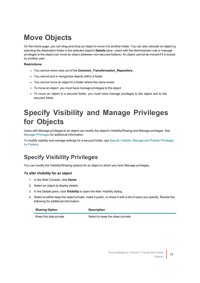# <span id="page-28-0"></span>**Move Objects**

On the Home page, you can drag-and-drop an object to move it to another folder. You can also relocate an object by selecting the destination folder in the selected object's **Details** pane. Users with the Administrator role or manage privileges to the object can move an object (between non-secured folders). An object cannot be moved if it is locked by another user.

#### **Restrictions:**

- You cannot move rules out of the **Common Transformation Repository**.
- You cannot sort or reorganize objects within a folder.
- You cannot move an object to a folder where the name exists.
- To move an object, you must have manage privileges to the object.
- To move an object to a secured folder, you must have manage privileges to the object and to the secured folder.

## <span id="page-28-1"></span>**Specify Visibility and Manage Privileges for Objects**

Users with Manage privileges to an object can modify the object's Visibility/Sharing and Manage privileges. See Manager [Privileges](#page-45-0) for additional information.

To modify visibility and manage settings for a secured folder, see Specify Visibility, Manage and Publish [Privileges](#page-43-0) for [Folders.](#page-43-0)

### <span id="page-28-2"></span>**Specify Visibility Privileges**

You can modify the Visibility/Sharing options for an object to which you have Manage privileges.

### *To alter Visibility for an object*

- 1. In the Web Console, click **Home**.
- 2. Select an object to display details.
- 3. In the Details pane, click **Visibility** to open the Alter Visibility dialog.
- 4. Select to either keep the object private, make it public, or share it with a list of users you specify. Review the following for additional information.

| <b>Sharing Option</b> | <b>Description</b> |
|-----------------------|--------------------|
|                       |                    |

Keep this data private Select to keep the object private.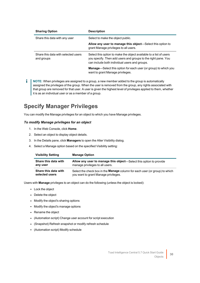| <b>Sharing Option</b>                             | <b>Description</b>                                                                                                                                                                   |
|---------------------------------------------------|--------------------------------------------------------------------------------------------------------------------------------------------------------------------------------------|
| Share this data with any user                     | Select to make the object public.                                                                                                                                                    |
|                                                   | Allow any user to manage this object—Select this option to<br>grant Manage privileges to all users.                                                                                  |
| Share this data with selected users<br>and groups | Select this option to make the object available to a list of users<br>you specify. Then add users and groups to the right pane. You<br>can include both individual users and groups. |
|                                                   | <b>Manage</b> —Select this option for each user (or group) to which you<br>want to grant Manage privileges.                                                                          |

**NOTE:** When privileges are assigned to a group, a new member added to the group is automatically i. assigned the privileges of the group. When the user is removed from the group, any rights associated with that group are removed for that user. A user is given the highest level of privileges applied to them, whether it is as an individual user or as a member of a group.

### <span id="page-29-0"></span>**Specify Manager Privileges**

You can modify the Manage privileges for an object to which you have Manage privileges.

### *To modify Manage privileges for an object*

- 1. In the Web Console, click **Home**.
- 2. Select an object to display object details.
- 3. In the Details pane, click **Managers** to open the Alter Visibility dialog.
- 4. Select a Manage option based on the specified Visibility setting:

| <b>Visibility Setting</b> | <b>Manage Option</b>                                                               |
|---------------------------|------------------------------------------------------------------------------------|
| Share this data with      | <b>Allow any user to manage this object—Select this option to provide</b>          |
| any user                  | manage privileges to all users.                                                    |
| Share this data with      | Select the check box in the <b>Manage</b> column for each user (or group) to which |
| selected users            | you want to grant Manage privileges.                                               |

Users with **Manage** privileges to an object can do the following (unless the object is locked):

- Lock the object
- Delete the object
- Modify the object's sharing options
- Modify the object's manage options
- Rename the object
- (Automation script) Change user account for script execution
- (Snapshot) Refresh snapshot or modify refresh schedule
- (Automation script) Modify schedule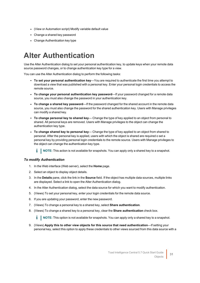- (View or Automation script) Modify variable default value
- Change a shared key password
- <span id="page-30-0"></span>• Change Authentication key type

## **Alter Authentication**

Use the Alter Authentication dialog to set your personal authentication key, to update keys when your remote data source password changes, or to change authentication key type for a view.

You can use the Alter Authentication dialog to perform the following tasks:

- <sup>l</sup> **To set your personal authentication key**—You are required to authenticate the first time you attempt to download a view that was published with a personal key. Enter your personal login credentials to access the remote source.
- <sup>l</sup> **To change your personal authentication key password**—If your password changed for a remote data source, you must also change the password in your authentication key.
- <sup>l</sup> **To change a shared key password**—If the password changed for the shared account in the remote data source, you must also change the password for the shared authentication key. Users with Manage privileges can modify a shared key.
- <sup>l</sup> **To change personal key to shared key** Change the type of key applied to an object from personal to shared. All personal keys are removed. Users with Manage privileges to the object can change the authentication key type.
- <sup>l</sup> **To change shared key to personal key** Change the type of key applied to an object from shared to personal. After the personal key is applied, users with which the object is shared are required o set a personal key by providing personal login credentials to the remote source. Users with Manage privileges to the object can change the authentication key type.

i. **NOTE:** This action is not available for snapshots. You can apply only a shared key to a snapshot.

### *To modify Authentication*

- 1. In the Web interface (Web server), select the **Home** page.
- 2. Select an object to display object details.
- 3. In the **Details** pane, click the link in the **Source** field. If the object has multiple data sources, multiple links are displayed. Select a link to open the Alter Authentication dialog.
- 4. In the Alter Authentication dialog, select the data source for which you want to modify authentication.
- 5. (Views) To set your personal key, enter your login credentials for the remote data source.
- 6. If you are updating your password, enter the new password.
- 7. (Views) To change a personal key to a shared key, select **Share authentication**.
- 8. (Views) To change a shared key to a personal key, clear the **Share authentication** check box.
	- **I** NOTE: This option is not available for snapshots. You can apply only a shared key to a snapshot.
- 9. (Views) **Apply this to other view objects for this source that need authentication**—If setting your personal key, select this option to apply these credentials to other views sourced from this data source with a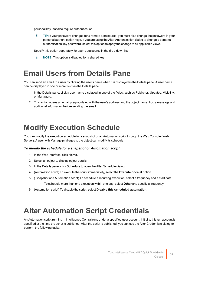personal key that also require authentication.

**TIP:** If your password changed for a remote data source, you must also change the password in your personal authentication keys. If you are using the Alter Authentication dialog to change a personal authentication key password, select this option to apply the change to all applicable views.

Specify this option separately for each data source in the drop-down list.

**i** NOTE: This option is disabled for a shared key.

## <span id="page-31-0"></span>**Email Users from Details Pane**

You can send an email to a user by clicking the user's name when it is displayed in the Details pane. A user name can be displayed in one or more fields in the Details pane.

- 1. In the Details pane, click a user name displayed in one of the fields, such as Publisher, Updated, Visibility, or Managers.
- 2. This action opens an email pre-populated with the user's address and the object name. Add a message and additional information before sending the email.

## <span id="page-31-1"></span>**Modify Execution Schedule**

You can modify the execution schedule for a snapshot or an Automation script through the Web Console (Web Server). A user with Manage privileges to the object can modify its schedule.

#### *To modify the schedule for a snapshot or Automation script*

- 1. In the Web interface, click **Home**.
- 2. Select an object to display object details.
- 3. In the Details pane, click **Schedule** to open the Alter Schedule dialog.
- 4. (Automation script) To execute the script immediately, select the **Execute once at** option.
- 5. ( Snapshot and Automation script) To schedule a recurring execution, select a frequency and a start date.
	- To schedule more than one execution within one day, select **Other** and specify a frequency.
- 6. (Automation script) To disable the script, select **Disable this scheduled automation**.

## <span id="page-31-2"></span>**Alter Automation Script Credentials**

An Automation script running in Intelligence Central runs under a specified user account. Initially, this run account is specified at the time the script is published. After the script is published, you can use the Alter Credentials dialog to perform the following tasks: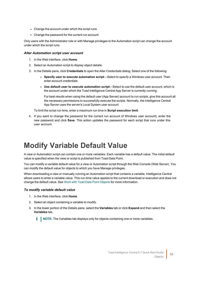- Change the account under which the script runs
- Change the password for the current run account

Only users with the Administrator role or with Manage privileges to the Automation script can change the account under which the script runs.

#### *Alter Automation script user account*

- 1. In the Web interface, click **Home**.
- 2. Select an Automation script to display object details.
- 3. In the Details pane, click **Credentials** to open the Alter Credentials dialog. Select one of the following:
	- <sup>l</sup> **Specify user to execute automation script**—Select to specify a Windows user account. Then enter account credentials.
	- <sup>l</sup> **Use default user to execute automation script**—Select to use the default user account, which is the account under which the Toad Intelligence Central App Server is currently running.

For best results when using the default user (App Server) account to run scripts, give this account all the necessary permissions to successfully execute the scripts. Normally, the Intelligence Central App Server uses the server's Local System user account.

To limit the script run time, enter a maximum run time in **Script execution limit**.

4. If you want to change the password for the current run account (if Windows user account), enter the new password and click **Save**. This action updates the password for each script that runs under this user account.

## <span id="page-32-0"></span>**Modify Variable Default Value**

A view or Automation script can contain one or more variables. Each variable has a default value. The initial default value is specified when the view or script is published from Toad Data Point.

You can modify a variable default value for a view or Automation script through the Web Console (Web Server). You can modify the default value for objects to which you have Manage privileges.

When downloading a view or manually running an Automation script that contains a variable, Intelligence Central allows users to enter a variable value. This run-time value applies to the current download or execution and does not change the default value. See Work with Toad Data Point [Objects](#page-17-1) for more information.

#### *To modify variable default value*

- 1. In the Web interface, click **Home**.
- 2. Select an object containing a variable to modify.
- 3. In the lower portion of the Details pane, select the **Variables** tab or click **Expand** and then select the **Variables** tab.
	- **NOTE:** The Variables tab displays only for objects containing one or more variables.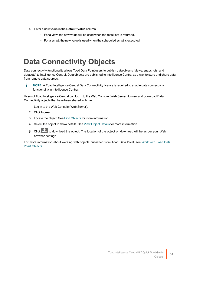- 4. Enter a new value in the **Default Value** column.
	- For a view, the new value will be used when the result set is returned.
	- For a script, the new value is used when the scheduled script is executed.

## <span id="page-33-0"></span>**Data Connectivity Objects**

Data connectivity functionality allows Toad Data Point users to publish data objects (views, snapshots, and datasets) to Intelligence Central. Data objects are published to Intelligence Central as a way to store and share data from remote data sources.

i **NOTE:** A Toad Intelligence Central Data Connectivity license is required to enable data connectivity **functionality in Intelligence Central.** 

Users of Toad Intelligence Central can log in to the Web Console (Web Server) to view and download Data Connectivity objects that have been shared with them.

- 1. Log in to the Web Console (Web Server).
- 2. Click **Home**.
- 3. Locate the object. See Find [Objects](#page-23-1) for more information.
- 4. Select the object to show details. See View Object [Details](#page-24-0) for more information.
- 5. Click to download the object. The location of the object on download will be as per your Web browser settings.

For more information about working with objects published from Toad Data Point, see [Work](#page-17-1) with Toad Data Point [Objects](#page-17-1).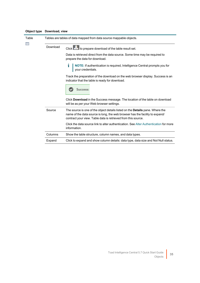| Table<br>E | Tables are tables of data mapped from data source mappable objects. |                                                                                                                                                                                                                                       |
|------------|---------------------------------------------------------------------|---------------------------------------------------------------------------------------------------------------------------------------------------------------------------------------------------------------------------------------|
|            | Download                                                            | Click to prepare download of the table result set.                                                                                                                                                                                    |
|            |                                                                     | Data is retrieved direct from the data source. Some time may be required to<br>prepare the data for download.                                                                                                                         |
|            |                                                                     | NOTE: If authentication is required, Intelligence Central prompts you for<br>your credentials.                                                                                                                                        |
|            |                                                                     | Track the preparation of the download on the web browser display. Success is an<br>indicator that the table is ready for download.                                                                                                    |
|            |                                                                     | Success:                                                                                                                                                                                                                              |
|            |                                                                     | Click Download in the Success message. The location of the table on download<br>will be as per your Web browser settings.                                                                                                             |
|            | Source                                                              | The source is one of the object details listed on the <b>Details</b> pane. Where the<br>name of the data source is long, the web browser has the facility to expand/<br>contract your view. Table data is retrieved from this source. |
|            |                                                                     | Click the data source link to alter authentication. See Alter Authentication for more<br>information.                                                                                                                                 |
|            |                                                                     |                                                                                                                                                                                                                                       |

Columns Show the table structure, column names, and data types.

Expand Click to expand and show column details: data type, data size and Not Null status.

### **Object type Download, view**

for more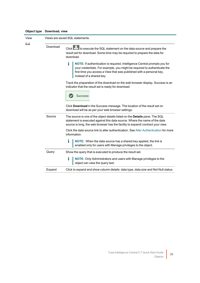|            |                                 | Object type Download, view                                                                                                                                                                                                                                            |  |
|------------|---------------------------------|-----------------------------------------------------------------------------------------------------------------------------------------------------------------------------------------------------------------------------------------------------------------------|--|
| View<br>११ | Views are saved SQL statements. |                                                                                                                                                                                                                                                                       |  |
|            | Download                        | Click to execute the SQL statement on the data source and prepare the<br>result set for download. Some time may be required to prepare the data for<br>download.                                                                                                      |  |
|            |                                 | i<br><b>NOTE:</b> If authentication is required, Intelligence Central prompts you for<br>your credentials. For example, you might be required to authenticate the<br>first time you access a View that was published with a personal key,<br>instead of a shared key. |  |
|            |                                 | Track the preparation of the download on the web browser display. Success is an<br>indicator that the result set is ready for download.<br>Success:                                                                                                                   |  |
|            |                                 | Click Download in the Success message. The location of the result set on<br>download will be as per your web browser settings.                                                                                                                                        |  |
|            | Source                          | The source is one of the object details listed on the Details pane. The SQL<br>statement is executed against this data source. Where the name of the data<br>source is long, the web browser has the facility to expand/ contract your view.                          |  |
|            |                                 | Click the data source link to alter authentication. See Alter Authentication for more<br>information.                                                                                                                                                                 |  |
|            |                                 | i<br>NOTE: When the data source has a shared key applied, the link is<br>enabled only for users with Manage privileges to the object.                                                                                                                                 |  |
|            | Query                           | Show the query that is executed to produce the result set.                                                                                                                                                                                                            |  |
|            |                                 | i<br>NOTE: Only Administrators and users with Manage privileges to the<br>object can view the query text.                                                                                                                                                             |  |
|            | Expand                          | Click to expand and show column details: data type, data size and Not Null status.                                                                                                                                                                                    |  |
|            |                                 |                                                                                                                                                                                                                                                                       |  |

### **Object type Download, view**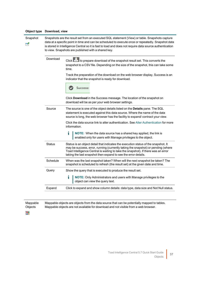| Object type    | Download, view |                                                                                                                                                                                                                                                                                                                                                                        |
|----------------|----------------|------------------------------------------------------------------------------------------------------------------------------------------------------------------------------------------------------------------------------------------------------------------------------------------------------------------------------------------------------------------------|
| Snapshot<br>۳đ |                | Snapshots are the result set from an executed SQL statement (View) or table. Snapshots capture<br>data at a specific point in time and can be scheduled to execute once or repeatedly. Snapshot data<br>is stored in Intelligence Central so it is fast to load and does not require data source authentication<br>to view. Snapshots are published with a shared key. |
|                | Download       | Click to prepare download of the snapshot result set. This converts the<br>snapshot to a CSV file. Depending on the size of the snapshot, this can take some<br>time.                                                                                                                                                                                                  |
|                |                | Track the preparation of the download on the web browser display. Success is an<br>indicator that the snapshot is ready for download.                                                                                                                                                                                                                                  |
|                |                | Success:                                                                                                                                                                                                                                                                                                                                                               |
|                |                | Click Download in the Success message. The location of the snapshot on<br>download will be as per your web browser settings.                                                                                                                                                                                                                                           |
|                | Source         | The source is one of the object details listed on the Details pane. The SQL<br>statement is executed against this data source. Where the name of the data<br>source is long, the web browser has the facility to expand/ contract your view.                                                                                                                           |
|                |                | Click the data source link to alter authentication. See Alter Authentication for more<br>information.                                                                                                                                                                                                                                                                  |
|                |                | i<br>NOTE: When the data source has a shared key applied, the link is<br>enabled only for users with Manage privileges to the object.                                                                                                                                                                                                                                  |
|                | <b>Status</b>  | Status is an object detail that indicates the execution status of the snapshot. It<br>may be success, error, running (currently taking the snapshot) or pending (where<br>Toad Intelligence Central is waiting to take the snapshot). If there was an error<br>taking the last snapshot then expand to see the error details.                                          |
|                | Schedule       | When was the last snapshot taken? When will the next snapshot be taken? The<br>snapshot is scheduled to refresh (the result set) at the given date and time.                                                                                                                                                                                                           |
|                | Query          | Show the query that is executed to produce the result set.                                                                                                                                                                                                                                                                                                             |
|                |                | i<br><b>NOTE:</b> Only Administrators and users with Manage privileges to the<br>object can view the query text.                                                                                                                                                                                                                                                       |
|                | Expand         | Click to expand and show column details: data type, data size and Not Null status.                                                                                                                                                                                                                                                                                     |
|                |                |                                                                                                                                                                                                                                                                                                                                                                        |

Mappable Objects Mappable objects are objects from the data source that can be potentially mapped to tables. Mappable objects are not available for download and not visible from a web browser.

驟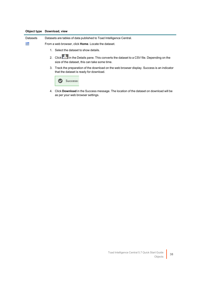### **Object type Download, view**

| <b>Datasets</b> | Datasets are tables of data published to Toad Intelligence Central.                                                                      |
|-----------------|------------------------------------------------------------------------------------------------------------------------------------------|
| 靊               | From a web browser, click <b>Home</b> . Locate the dataset.                                                                              |
|                 | Select the dataset to show details.<br>$1_{-}$                                                                                           |
|                 | 2. Click in the Details pane. This converts the dataset to a CSV file. Depending on the<br>size of the dataset, this can take some time. |
|                 | 3. Track the preparation of the download on the web browser display. Success is an indicator<br>that the dataset is ready for download.  |
|                 | ccess:                                                                                                                                   |

4. Click **Download** in the Success message. The location of the dataset on download will be as per your web browser settings.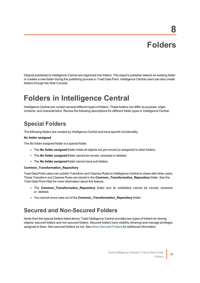# **Folders**

**8**

<span id="page-38-0"></span>Objects published to Intelligence Central are organized into folders. The object's publisher selects an existing folder or creates a new folder during the publishing process in Toad Data Point. Intelligence Central users can also create folders through the Web Console.

## <span id="page-38-1"></span>**Folders in Intelligence Central**

<span id="page-38-2"></span>Intelligence Central can contain several different types of folders. These folders can differ by purpose, origin, contents, and characteristics. Review the following descriptions for different folder types in Intelligence Central.

### **Special Folders**

The following folders are created by Intelligence Central and have specific functionality.

#### **No folder assigned**

The *No folder assigned* folder is a special folder.

- The *No folder assigned* folder holds all objects not yet moved (or assigned) to other folders.
- **·** The *No folder assigned* folder cannot be moved, renamed or deleted.
- The *No folder assigned* folder cannot have sub folders.

#### **Common\_Transformation\_Repository**

Toad Data Point users can publish Transform and Cleanse Rules to Intelligence Central to share with other users. These Transform and Cleanse Rules are stored in the *Common\_Transformation\_Repository* folder. See the *Toad Data Point Help* for more information about this feature.

- The **Common\_Transformation\_Repository** folder and its subfolders cannot be moved, renamed or deleted.
- <span id="page-38-3"></span>• You cannot move rules out of the **Common\_Transformation\_Repository** folder.

### **Secured and Non-Secured Folders**

Aside from the special folders listed above, Toad Intelligence Central provides two types of folders for storing objects: secured folders and non-secured folders. Secured folders have visibility (sharing) and manage privileges assigned to them. Non-secured folders do not. See About [Secured](#page-41-0) Folders for additional information.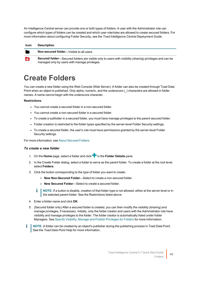An Intelligence Central server can provide one or both types of folders. A user with the Administrator role can configure which types of folders can be created and which user role/roles are allowed to create secured folders. For more information about configuring Folder Security, see the *Toad Intelligence Central Deployment Guide*.

| Icon | <b>Description</b>                                                                                                                                        |
|------|-----------------------------------------------------------------------------------------------------------------------------------------------------------|
|      | <b>Non-secured folder</b> —Visible to all users.                                                                                                          |
|      | Secured folder—Secured folders are visible only to users with visibility (sharing) privileges and can be<br>managed only by users with manage privileges. |

## <span id="page-39-0"></span>**Create Folders**

You can create a new folder using the Web Console (Web Server). A folder can also be created through Toad Data Point when an object is published. Only alpha, numeric, and the underscore (\_) characters are allowed in folder names. A name cannot begin with the underscore character.

#### **Restrictions**

- You cannot create a secured folder in a non-secured folder.
- You cannot create a non-secured folder in a secured folder.
- To create a subfolder in a secured folder, you must have manage privileges to the parent secured folder.
- Folder creation is restricted to the folder types specified by the server-level Folder Security settings.
- To create a secured folder, the user's *role* must have permissions granted by the server-level Folder Security settings.

For more information, see About [Secured](#page-41-0) Folders.

#### *To create a new folder*

- 1. On the **Home** page, select a folder and click in the **Folder Details** pane.
- 2. In the Create Folder dialog, select a folder to serve as the parent folder. To create a folder at the root level, select **Folders**.
- 3. Click the button corresponding to the type of folder you want to create.
	- **New Non-Secured Folder**—Select to create a non-secured folder.
	- **New Secured Folder**—Select to create a secured folder.
	- **NOTE:** If a button is disable, creation of that folder type is not allowed, either at the server level or in the selected parent folder. See the Restrictions listed above.
- 4. Enter a folder name and click **OK**.
- 5. (Secured folder only) After a secured folder is created, you can then modify the visibility (sharing) and manage privileges, if necessary. Initially, only the folder creator and users with the Administrator role have visibility and manage privileges to the folder. The folder creator is automatically listed under folder Managers. See Specify Visibility, Manage and Publish [Privileges](#page-43-0) for Folders for more information.
- **NOTE:** A folder can be created by an object's publisher during the publishing process in Toad Data Point. See the *Toad Data Point Help* for more information.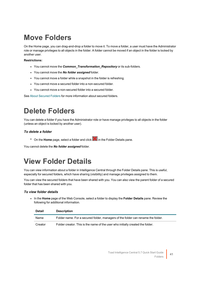## <span id="page-40-0"></span>**Move Folders**

On the Home page, you can drag-and-drop a folder to move it. To move a folder, a user must have the Administrator role or manage privileges to all objects in the folder. A folder cannot be moved if an object in the folder is locked by another user.

#### **Restrictions:**

- You cannot move the *Common Transformation Repository* or its sub-folders.
- <sup>l</sup> You cannot move the *No folder assigned* folder.
- You cannot move a folder while a snapshot in the folder is refreshing.
- You cannot move a secured folder into a non-secured folder.
- You cannot move a non-secured folder into a secured folder.

<span id="page-40-1"></span>See About [Secured](#page-41-0) Folders for more information about secured folders.

## **Delete Folders**

You can delete a folder if you have the Administrator role or have manage privileges to all objects in the folder (unless an object is locked by another user).

### *To delete a folder*

<sup>•</sup> On the **Home** page, select a folder and click **in** the Folder Details pane.

<span id="page-40-2"></span>You cannot delete the *No folder assigned* folder.

## **View Folder Details**

You can view information about a folder in Intelligence Central through the Folder Details pane. This is useful, especially for secured folders, which have sharing (visibility) and manage privileges assigned to them.

You can view the secured folders that have been shared with you. You can also view the parent folder of a secured folder that has been shared with you.

#### *To view folder details*

**In the Home** page of the Web Console, select a folder to display the Folder Details pane. Review the following for additional information.

| <b>Detail</b> | <b>Description</b>                                                               |
|---------------|----------------------------------------------------------------------------------|
| Name          | Folder name. For a secured folder, managers of the folder can rename the folder. |
| Creator       | Folder creator. This is the name of the user who initially created the folder.   |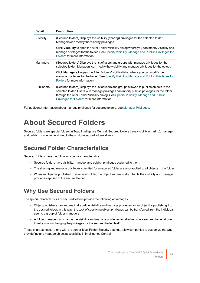| <b>Detail</b>     | <b>Description</b>                                                                                                                                                                                                                                                                                                                |
|-------------------|-----------------------------------------------------------------------------------------------------------------------------------------------------------------------------------------------------------------------------------------------------------------------------------------------------------------------------------|
| Visibility        | (Secured folders) Displays the visibility (sharing) privileges for the selected folder.<br>Managers can modify the visibility privileges.                                                                                                                                                                                         |
|                   | Click Visibility to open the Alter Folder Visibility dialog where you can modify visibility and<br>manage privileges for the folder. See Specify Visibility, Manage and Publish Privileges for<br>Folders for more information.                                                                                                   |
| Managers          | (Secured folders) Displays the list of users and groups with manage privileges for the<br>selected folder. Managers can modify the visibility and manage privileges for the object.                                                                                                                                               |
|                   | Click <b>Managers</b> to open the Alter Folder Visibility dialog where you can modify the<br>manage privileges for the folder. See Specify Visibility, Manage and Publish Privileges for<br>Folders for more information.                                                                                                         |
| <b>Publishers</b> | (Secured folders) Displays the list of users and groups allowed to publish objects to the<br>selected folder. Users with manage privileges can modify publish privileges for the folder<br>through the Alter Folder Visibility dialog. See Specify Visibility, Manage and Publish<br>Privileges for Folders for more information. |

<span id="page-41-0"></span>For additional information about manage privileges for secured folders, see Manager [Privileges.](#page-45-0)

## **About Secured Folders**

Secured folders are special folders in Toad Intelligence Central. Secured folders have visibility (sharing), manage, and publish privileges assigned to them. Non-secured folders do not.

### <span id="page-41-1"></span>**Secured Folder Characteristics**

Secured folders have the following special characteristics:

- Secured folders have visibility, manage, and publish privileges assigned to them.
- The sharing and manage privileges specified for a secured folder are also applied to all objects in the folder.
- When an object is published to a secured folder, the object automatically inherits the visibility and manage privileges applied to the secured folder.

### <span id="page-41-2"></span>**Why Use Secured Folders**

The special characteristics of secured folders provide the following advantages:

- Object publishers can automatically define visibility and manage privileges for an object by publishing it to the desired folder. In this way, the task of specifying object privileges can be transferred from the individual user to a group of folder managers.
- A folder manager can change the visibility and manage privileges for all objects in a secured folder at one time by simply changing the privileges for the secured folder itself.

These characteristics, along with the server-level Folder Security settings, allow companies to customize the way they define and manage object accessibility in Intelligence Central.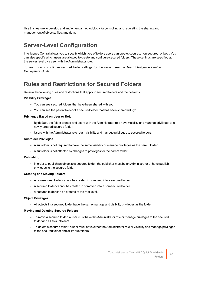Use this feature to develop and implement a methodology for controlling and regulating the sharing and management of objects, files, and data.

### <span id="page-42-0"></span>**Server-Level Configuration**

Intelligence Central allows you to specify which type of folders users can create: secured, non-secured, or both. You can also specify which users are allowed to create and configure secured folders. These settings are specified at the server level by a user with the Administrator role.

<span id="page-42-1"></span>To learn how to configure secured folder settings for the server, see the *Toad Intelligence Central Deployment Guide*.

### **Rules and Restrictions for Secured Folders**

Review the following rules and restrictions that apply to secured folders and their objects.

#### **Visibility Privileges**

- You can see secured folders that have been shared with you.
- You can see the parent folder of a secured folder that has been shared with you.

#### **Privileges Based on User or Role**

- By default, the folder creator and users with the Administrator role have visibility and manage privileges to a newly-created secured folder.
- Users with the Administrator role retain visibility and manage privileges to secured folders.

#### **Subfolder Privileges**

- A subfolder is not required to have the same visibility or manage privileges as the parent folder.
- A subfolder is not affected by changes to privileges for the parent folder.

#### **Publishing**

• In order to publish an object to a secured folder, the publisher must be an Administrator or have publish privileges to the secured folder.

#### **Creating and Moving Folders**

- A non-secured folder cannot be created in or moved into a secured folder.
- A secured folder cannot be created in or moved into a non-secured folder.
- A secured folder can be created at the root level.

#### **Object Privileges**

• All objects in a secured folder have the same manage and visibility privileges as the folder.

#### **Moving and Deleting Secured Folders**

- To move a secured folder, a user must have the Administrator role or manage privileges to the secured folder and all its subfolders.
- To delete a secured folder, a user must have either the Administrator role or visibility and manage privileges to the secured folder and all its subfolders.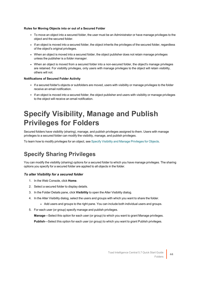#### **Rules for Moving Objects into or out of a Secured Folder**

- To move an object into a secured folder, the user must be an Administrator or have manage privileges to the object and the secured folder.
- If an object is moved into a secured folder, the object inherits the privileges of the secured folder, regardless of the object's original privileges.
- When an object is moved into a secured folder, the object publisher does not retain manage privileges unless the publisher is a *folder manager*.
- When an object is moved from a secured folder into a non-secured folder, the object's manage privileges are retained. For visibility privileges, only users with manage privileges to the object will retain visibility, others will not.

#### **Notifications of Secured Folder Activity**

- If a secured folder's objects or subfolders are moved, users with visibility or manage privileges to the folder receive an email notification.
- If an object is moved into a secured folder, the object publisher and users with visibility or manage privileges to the object will receive an email notification.

## <span id="page-43-0"></span>**Specify Visibility, Manage and Publish Privileges for Folders**

Secured folders have visibility (sharing), manage, and publish privileges assigned to them. Users with manage privileges to a secured folder can modify the visibility, manage, and publish privileges.

<span id="page-43-1"></span>To learn how to modify privileges for an object, see Specify Visibility and Manage [Privileges](#page-28-1) for Objects.

### **Specify Sharing Privileges**

You can modify the visibility (sharing) options for a secured folder to which you have manage privileges. The sharing options you specify for a secured folder are applied to all objects in the folder.

#### *To alter Visibility for a secured folder*

- 1. In the Web Console, click **Home**.
- 2. Select a secured folder to display details.
- 3. In the Folder Details pane, click **Visibility** to open the Alter Visibility dialog.
- 4. In the Alter Visibility dialog, select the users and groups with which you want to share the folder.
	- Add users and groups to the right pane. You can include both individual users and groups.
- 5. For each user (or group) specify manage and publish privileges.

**Manage**—Select this option for each user (or group) to which you want to grant Manage privileges.

**Publish**—Select this option for each user (or group) to which you want to grant Publish privileges.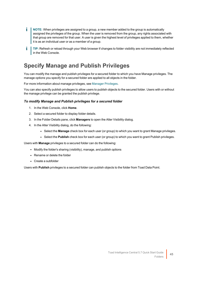- **NOTE:** When privileges are assigned to a group, a new member added to the group is automatically i. assigned the privileges of the group. When the user is removed from the group, any rights associated with that group are removed for that user. A user is given the highest level of privileges applied to them, whether it is as an individual user or as a member of a group.
- i **TIP:** Refresh or reload through your Web browser if changes to folder visibility are not immediately reflected in the Web Console.

### <span id="page-44-0"></span>**Specify Manage and Publish Privileges**

You can modify the manage and publish privileges for a secured folder to which you have Manage privileges. The manage options you specify for a secured folder are applied to all objects in the folder.

For more information about manage privileges, see Manager [Privileges](#page-45-0).

You can also specify publish privileges to allow users to publish objects to the secured folder. Users with or without the manage privilege can be granted the publish privilege.

#### *To modify Manage and Publish privileges for a secured folder*

- 1. In the Web Console, click **Home**.
- 2. Select a secured folder to display folder details.
- 3. In the Folder Details pane, click **Managers** to open the Alter Visibility dialog.
- 4. In the Alter Visibility dialog, do the following:
	- **.** Select the **Manage** check box for each user (or group) to which you want to grant Manage privileges.
	- **-** Select the **Publish** check box for each user (or group) to which you want to grant Publish privileges.

Users with **Manage** privileges to a secured folder can do the following:

- Modify the folder's sharing (visibility), manage, and publish options
- Rename or delete the folder
- Create a subfolder

Users with **Publish** privileges to a secured folder can publish objects to the folder from Toad Data Point.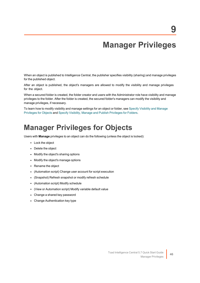## **Manager Privileges**

<span id="page-45-0"></span>When an object is published to Intelligence Central, the publisher specifies visibility (sharing) and manage privileges for the published object.

After an object is published, the object's managers are allowed to modify the visibility and manage privileges for the object.

When a secured folder is created, the folder creator and users with the Administrator role have visibility and manage privileges to the folder. After the folder is created, the secured folder's managers can modify the visibility and manage privileges, if necessary.

<span id="page-45-1"></span>To learn how to modify visibility and manage settings for an object or folder, see Specify [Visibility](#page-28-1) and Manage [Privileges](#page-28-1) for Objects and Specify Visibility, Manage and Publish [Privileges](#page-43-0) for Folders.

## **Manager Privileges for Objects**

Users with **Manage** privileges to an object can do the following (unless the object is locked):

- Lock the object
- Delete the object
- Modify the object's sharing options
- Modify the object's manage options
- Rename the object
- (Automation script) Change user account for script execution
- (Snapshot) Refresh snapshot or modify refresh schedule
- (Automation script) Modify schedule
- (View or Automation script) Modify variable default value
- Change a shared key password
- Change Authentication key type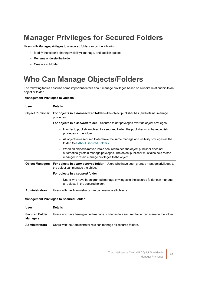## <span id="page-46-0"></span>**Manager Privileges for Secured Folders**

Users with **Manage** privileges to a secured folder can do the following:

- Modify the folder's sharing (visibility), manage, and publish options
- Rename or delete the folder
- <span id="page-46-1"></span>• Create a subfolder

## **Who Can Manage Objects/Folders**

The following tables describe some important details about manage privileges based on a user's relationship to an object or folder.

#### **Management Privileges to Objects**

| <b>User</b>             | <b>Details</b>                                                                                                                                                                                                                                      |
|-------------------------|-----------------------------------------------------------------------------------------------------------------------------------------------------------------------------------------------------------------------------------------------------|
| <b>Object Publisher</b> | For objects in a non-secured folder—The object publisher has (and retains) manage<br>privileges.                                                                                                                                                    |
|                         | <b>For objects in a secured folder</b> —Secured folder privileges override object privileges.                                                                                                                                                       |
|                         | In order to publish an object to a secured folder, the publisher must have publish<br>$\bullet$<br>privileges to the folder.                                                                                                                        |
|                         | All objects in a secured folder have the same manage and visibility privileges as the<br>$\bullet$<br>folder, See About Secured Folders.                                                                                                            |
|                         | When an object is moved into a secured folder, the object publisher does not<br>$\bullet$<br>automatically retain manage privileges. The object publisher must also be a <i>folder</i><br><i>manager</i> to retain manage privileges to the object. |
| <b>Object Managers</b>  | For objects in a non-secured folder—Users who have been granted manage privileges to<br>the object can manage the object.                                                                                                                           |
|                         | For objects in a secured folder                                                                                                                                                                                                                     |
|                         | Users who have been granted manage privileges to the secured folder can manage<br>$\bullet$<br>all objects in the secured folder.                                                                                                                   |
| <b>Administrators</b>   | Users with the Administrator role can manage all objects.                                                                                                                                                                                           |

#### **Management Privileges to Secured Folder**

| User                                     | <b>Details</b>                                                                                                |
|------------------------------------------|---------------------------------------------------------------------------------------------------------------|
| <b>Secured Folder</b><br><b>Managers</b> | Users who have been granted manage privileges to a secured folder can manage the folder.                      |
| A characterization of a con-             | . I had a constitution of the factor behavior and the constitution of the constitution of the behavior of the |

**Administrators** Users with the Administrator role can manage all secured folders.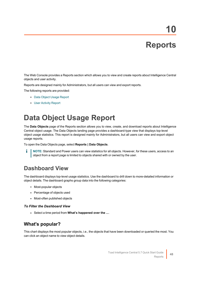# **Reports**

<span id="page-47-0"></span>The Web Console provides a Reports section which allows you to view and create reports about Intelligence Central objects and user activity.

Reports are designed mainly for Administrators, but all users can view and export reports.

The following reports are provided:

- Data Object Usage [Report](#page-47-1)
- <span id="page-47-1"></span>**• User [Activity](#page-48-2) Report**

## **Data Object Usage Report**

The **Data Objects** page of the Reports section allows you to view, create, and download reports about Intelligence Central object usage. The Data Objects landing page provides a dashboard-type view that displays top-level object usage statistics. This report is designed mainly for Administrators, but all users can view and export object usage reports.

To open the Data Objects page, select **Reports | Data Objects**.

÷ **NOTE:** Standard and Power users can view statistics for all objects. However, for these users, access to an object from a report page is limited to objects shared with or owned by the user.

### <span id="page-47-2"></span>**Dashboard View**

The dashboard displays top-level usage statistics. Use the dashboard to drill down to more-detailed information or object details. The dashboard graphs group data into the following categories:

- Most-popular objects
- Percentage of objects used
- Most-often published objects

#### *To Filter the Dashboard View*

<span id="page-47-3"></span><sup>l</sup> Select a time period from **What's happened over the ...**.

### **What's popular?**

This chart displays the most popular objects, i.e., the objects that have been downloaded or queried the most. You can click an object name to view object details.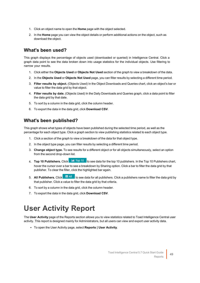- 1. Click an object name to open the **Home** page with the object selected.
- 2. In the **Home** page you can view the object details or perform additional actions on the object, such as download the object.

### <span id="page-48-0"></span>**What's been used?**

This graph displays the percentage of objects used (downloaded or queried) in Intelligence Central. Click a graph data point to see the data broken down into usage statistics for the individual objects. Use filtering to narrow your results.

- 1. Click either the **Objects Used** or **Objects Not Used** section of the graph to view a breakdown of the data.
- 2. In the **Objects Used** or **Objects Not Used** page, you can filter results by selecting a different time period.
- 3. **Filter results by object.** (Objects Used) In the Object Downloads and Queries chart, click an object's bar or value to filter the data grid by that object.
- 4. **Filter results by date.** (Objects Used) In the Daily Downloads and Queries graph, click a data point to filter the data grid by that date.
- 5. To sort by a column in the data grid, click the column header.
- <span id="page-48-1"></span>6. To export the data in the data grid, click **Download CSV**.

### **What's been published?**

This graph shows what types of objects have been published during the selected time period, as well as the percentage for each object type. Click a graph section to view publishing statistics related to each object type.

- 1. Click a section of the graph to view a breakdown of the data for that object type.
- 2. In the object type page, you can filter results by selecting a different time period.
- 3. **Change object type.** To see results for a different object or for all objects simultaneously, select an option from the second drop-down list.
- 4. **Top 10 Publishers.** Click **that Top 10** to see data for the top 10 publishers. In the Top 10 Publishers chart, hover the cursor over a bar to see a breakdown by Sharing option. Click a bar to filter the data grid by that publisher. To clear the filter, click the highlighted bar again.
- 5. **All Publishers.** Click  $\frac{100 \text{ dB}}{100 \text{ s}}$  to see data for all publishers. Click a publishers name to filter the data grid by that publisher. Click a value to filter the data grid by that criteria.
- 6. To sort by a column in the data grid, click the column header.
- <span id="page-48-2"></span>7. To export the data in the data grid, click **Download CSV**.

## **User Activity Report**

The **User Activity** page of the Reports section allows you to view statistics related to Toad Intelligence Central user activity. This report is designed mainly for Administrators, but all users can view and export user activity data.

<sup>l</sup> To open the User Activity page, select **Reports | User Activity**.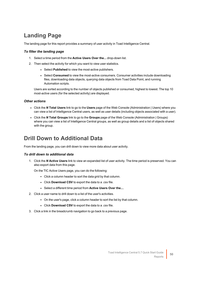### <span id="page-49-0"></span>**Landing Page**

The landing page for this report provides a summary of user activity in Toad Intelligence Central.

### *To filter the landing page*

- 1. Select a time period from the **Active Users Over the...** drop-down list.
- 2. Then select the activity for which you want to view user statistics.
	- **.** Select **Published** to view the most-active publishers.
	- **.** Select Consumed to view the most-active consumers. Consumer activities include downloading files, downloading data objects, querying data objects from Toad Data Point, and running Automation scripts.

Users are sorted according to the number of objects published or consumed, highest to lowest. The top 10 most-active users (for the selected activity) are displayed.

### *Other actions*

- <sup>l</sup> Click the *N* **Total Users** link to go to the **Users** page of the Web Console (Administration | Users) where you can view a list of Intelligence Central users, as well as user details (including objects associated with a user).
- <sup>l</sup> Click the *N* **Total Groups** link to go to the **Groups** page of the Web Console (Administration | Groups) where you can view a list of Intelligence Central groups, as well as group details and a list of objects shared with the group.

### <span id="page-49-1"></span>**Drill Down to Additional Data**

From the landing page, you can drill down to view more data about user activity.

#### *To drill down to additional data*

1. Click the *N* **Active Users** link to view an expanded list of user activity. The time period is preserved. You can also export data from this page.

On the TIC Active Users page, you can do the following:

- Click a column header to sort the data grid by that column.
- **.** Click **Download CSV** to export the data to a .csv file.
- <sup>l</sup> Select a different time period from **Active Users Over the...**.
- 2. Click a user name to drill down to a list of the user's activities.
	- On the user's page, click a column header to sort the list by that column.
	- **.** Click **Download CSV** to export the data to a .csv file.
- 3. Click a link in the breadcrumb navigation to go back to a previous page.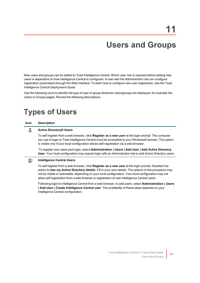## **Users and Groups**

<span id="page-50-0"></span>New users and groups can be added to Toad Intelligence Central. Which user role is required before adding new users is dependent on how Intelligence Central is configured. A user with the Administrator role can configure registration parameters through the Web interface. To learn how to configure new user registration, see the *Toad Intelligence Central Deployment Guide*.

<span id="page-50-1"></span>Use the following icons to identify the type of user or group wherever users/groups are displayed, for example the Users or Groups pages. Review the following descriptions.

## **Types of Users**

#### **Icon Description**

#### Q **Active Directory® Users**

To self register from a web browser, click **Register as a new user** at the login prompt. The computer you use to login to Toad Intelligence Central must be accessible to your Windows® domain. This option is visible only if your local configuration allows self registration via a web browser.

To register new users post login, select **Administration | Users | Add User | Add Active Directory User**. Your local configuration may require login with an Administrator role to add Active Directory users.

#### $\mathbf{C}_0$ **Intelligence Central Users**

To self register from a web browser, click **Register as a new user** at the login prompt. Deselect the option to **Use my Active Directory details**. Fill in your user details. The options in this procedure may not be visible or selectable, depending on your local configuration. Your local configuration may not allow self registration from a web browser or registration of new Intelligence Central users.

Following login to Intelligence Central from a web browser, to add users, select **Administration | Users | Add User | Create Intelligence Central user**. The availability of these steps depends on your Intelligence Central configuration.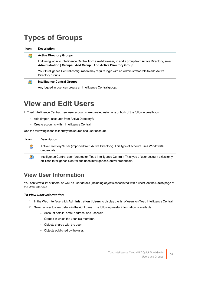## <span id="page-51-0"></span>**Types of Groups**

**Icon Description**

#### **Active Directory Groups** £

Following login to Intelligence Central from a web browser, to add a group from Active Directory, select **Administration | Groups | Add Group | Add Active Directory Group**.

Your Intelligence Central configuration may require login with an Administrator role to add Active Directory groups.

#### $\bullet$ **Intelligence Central Groups**

Any logged in user can create an Intelligence Central group.

## <span id="page-51-1"></span>**View and Edit Users**

In Toad Intelligence Central, new user accounts are created using one or both of the following methods:

- Add (import) accounts from Active Directory®
- Create accounts within Intelligence Central

Use the following icons to identify the source of a user account.

| <b>Icon</b> | <b>Description</b>                                                                                                                                                                 |
|-------------|------------------------------------------------------------------------------------------------------------------------------------------------------------------------------------|
|             | Active Directory® user (imported from Active Directory). This type of account uses Windows®<br>credentials.                                                                        |
| СIJ         | Intelligence Central user (created on Toad Intelligence Central). This type of user account exists only<br>on Toad Intelligence Central and uses Intelligence Central credentials. |

### <span id="page-51-2"></span>**View User Information**

You can view a list of users, as well as user details (including objects associated with a user), on the **Users** page of the Web interface.

#### *To view user information*

- 1. In the Web interface, click **Administration | Users** to display the list of users on Toad Intelligence Central.
- 2. Select a user to view details in the right pane. The following useful information is available:
	- Account details, email address, and user role.
	- Groups in which the user is a member.
	- Objects shared with the user.
	- Objects published by the user.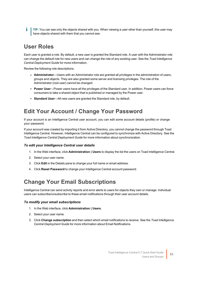**TIP:** You can see only the objects shared with you. When viewing a user other than yourself, this user may i. have objects shared with them that you cannot see.

### <span id="page-52-0"></span>**User Roles**

Each user is granted a role. By default, a new user is granted the Standard role. A user with the Administrator role can change the default role for new users and can change the role of any existing user. See the *Toad Intelligence Central Deployment Guide* for more information.

Review the following role descriptions.

- **Administrator**—Users with an Administrator role are granted all privileges in the administration of users, groups and objects. They are also granted some server and licensing privileges. The role of the Administrator (root user) cannot be changed.
- **Power User**—Power users have all the privileges of the Standard user. In addition, Power users can force consumers to take a shared object that is published or managed by the Power user.
- <span id="page-52-1"></span>**Standard User**—All new users are granted the Standard role, by default.

### **Edit Your Account / Change Your Password**

If your account is an Intelligence Central user account, you can edit some account details (profile) or change your password.

If your account was created by importing it from Active Directory, you cannot change the password through Toad Intelligence Central. However, Intelligence Central can be configured to synchronize with Active Directory. See the *Toad Intelligence Central Deployment Guide* for more information about synchronization.

#### *To edit your Intelligence Central user details*

- 1. In the Web interface, click **Administration | Users** to display the list the users on Toad Intelligence Central.
- 2. Select your user name.
- 3. Click **Edit** in the Details pane to change your full name or email address.
- <span id="page-52-2"></span>4. Click **Reset Password** to change your Intelligence Central account password.

### **Change Your Email Subscriptions**

Intelligence Central can send activity reports and error alerts to users for objects they own or manage. Individual users can subscribe/unsubscribe to these email notifications through their user account details.

#### *To modify your email subscriptions*

- 1. In the Web interface, click **Administration | Users**.
- 2. Select your user name.
- 3. Click **Change subscription** and then select which email notifications to receive. See the *Toad Intelligence Central Deployment Guide* for more information about Email Notifications.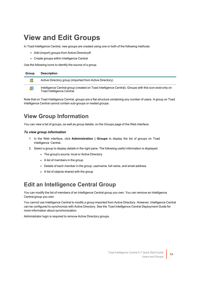## <span id="page-53-0"></span>**View and Edit Groups**

In Toad Intelligence Central, new groups are created using one or both of the following methods:

- Add (import) groups from Active Directory®
- Create groups within Intelligence Central

Use the following icons to identify the source of a group.

| Group | <b>Description</b>                                                                                                                   |
|-------|--------------------------------------------------------------------------------------------------------------------------------------|
|       | Active Directory group (imported from Active Directory).                                                                             |
|       | Intelligence Central group (created on Toad Intelligence Central). Groups with this icon exist only on<br>Toad Intelligence Central. |

Note that on Toad Intelligence Central, groups are a flat structure containing any number of users. A group on Toad Intelligence Central cannot contain sub-groups or nested groups.

### <span id="page-53-1"></span>**View Group Information**

You can view a list of groups, as well as group details, on the Groups page of the Web interface.

#### *To view group information*

- 1. In the Web interface, click **Administration | Groups** to display the list of groups on Toad Intelligence Central.
- 2. Select a group to display details in the right pane. The following useful information is displayed.
	- The group's source: local or Active Directory
	- $\bullet$  A list of members in the group
	- Details of each member in the group: username, full name, and email address
	- $\bullet$  A list of objects shared with the group

### <span id="page-53-2"></span>**Edit an Intelligence Central Group**

You can modify the list of members of an Intelligence Central group you own. You can remove an Intelligence Central group you own.

You cannot use Intelligence Central to modify a group imported from Active Directory. However, Intelligence Central can be configured to synchronize with Active Directory. See the *Toad Intelligence Central Deployment Guide* for more information about synchronization.

Administrator login is required to remove Active Directory groups.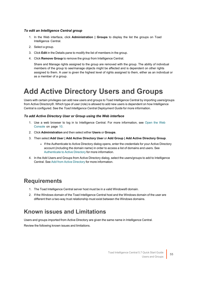#### *To edit an Intelligence Central group*

- 1. In the Web interface, click **Administration | Groups** to display the list the groups on Toad Intelligence Central.
- 2. Select a group.
- 3. Click **Edit** in the Details pane to modify the list of members in the group.
- 4. Click **Remove Group** to remove the group from Intelligence Central.

Share and Manage rights assigned to the group are removed with the group. The ability of individual members of the group to see/manage objects might be affected and is dependent on other rights assigned to them. A user is given the highest level of rights assigned to them, either as an individual or as a member of a group.

## <span id="page-54-0"></span>**Add Active Directory Users and Groups**

Users with certain privileges can add new users and groups to Toad Intelligence Central by importing users/groups from Active Directory®. Which type of user (role) is allowed to add new users is dependent on how Intelligence Central is configured. See the *Toad Intelligence Central Deployment Guide* for more information.

### *To add Active Directory User or Group using the Web interface*

- 1. Use a web browser to log in to Intelligence Central. For more [information,](#page-9-0) see Open the Web [Console](#page-9-0) on page 10.
- 2. Click **Administration** and then select either **Users** or **Groups**.
- 3. Then select **Add User | Add Active Directory User** or **Add Group | Add Active Directory Group**.
	- If the Authenticate to Active Directory dialog opens, enter the credentials for your Active Directory account (including the domain name) in order to access a list of domains and users. See [Authenticate](#page-55-0) to Active Directory for more information.
- 4. In the Add Users and Groups from Active Directory dialog, select the users/groups to add to Intelligence Central. See Add from Active [Directory](#page-56-0) for more information.

### <span id="page-54-1"></span>**Requirements**

- 1. The Toad Intelligence Central server host must be in a valid Windows® domain.
- 2. If the Windows domain of the Toad Intelligence Central host and the Windows domain of the user are different then a two-way trust relationship must exist between the Windows domains.

### <span id="page-54-2"></span>**Known issues and Limitations**

Users and groups imported from Active Directory are given the same name in Intelligence Central.

Review the following known issues and limitations.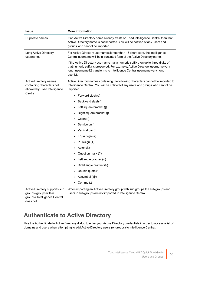| Issue                                                                               | <b>More information</b>                                                                                                                                                                                                                                 |
|-------------------------------------------------------------------------------------|---------------------------------------------------------------------------------------------------------------------------------------------------------------------------------------------------------------------------------------------------------|
| Duplicate names                                                                     | If an Active Directory name already exists on Toad Intelligence Central then that<br>Active Directory name is not imported. You will be notified of any users and<br>groups who cannot be imported.                                                     |
| Long Active Directory<br>usernames                                                  | For Active Directory usernames longer than 16 characters, the Intelligence<br>Central username will be a truncated form of the Active Directory name.                                                                                                   |
|                                                                                     | If the Active Directory username has a numeric suffix then up to three digits of<br>that numeric suffix is preserved. For example, Active Directory username very_<br>long_username12 transforms to Intelligence Central username very_long_<br>user12. |
| Active Directory names<br>containing characters not<br>allowed by Toad Intelligence | Active Directory names containing the following characters cannot be imported to<br>Intelligence Central. You will be notified of any users and groups who cannot be<br>imported.                                                                       |
| Central                                                                             | Forward slash (/)<br>$\bullet$                                                                                                                                                                                                                          |
|                                                                                     | Backward slash (\)                                                                                                                                                                                                                                      |
|                                                                                     | Left square bracket ([)                                                                                                                                                                                                                                 |
|                                                                                     | Right square bracket (])                                                                                                                                                                                                                                |
|                                                                                     | Colon (:)                                                                                                                                                                                                                                               |
|                                                                                     | Semicolon (;)                                                                                                                                                                                                                                           |
|                                                                                     | Vertical bar ( )                                                                                                                                                                                                                                        |
|                                                                                     | Equal sign (=)                                                                                                                                                                                                                                          |
|                                                                                     | Plus sign $(+)$                                                                                                                                                                                                                                         |
|                                                                                     | Asterisk (*)                                                                                                                                                                                                                                            |
|                                                                                     | Question mark (?)                                                                                                                                                                                                                                       |
|                                                                                     | Left angle bracket $(\leq)$                                                                                                                                                                                                                             |
|                                                                                     | Right angle bracket (>)                                                                                                                                                                                                                                 |
|                                                                                     | Double quote (")                                                                                                                                                                                                                                        |
|                                                                                     | At symbol $(\mathcal{Q})$                                                                                                                                                                                                                               |
|                                                                                     | Comma (,)<br>$\bullet$                                                                                                                                                                                                                                  |
| Active Directory supports sub                                                       | When importing an Active Directory group with sub groups the sub groups and                                                                                                                                                                             |

groups (groups within groups). Intelligence Central does not.

users in sub groups are not imported to Intelligence Central.

### <span id="page-55-0"></span>**Authenticate to Active Directory**

Use the Authenticate to Active Directory dialog to enter your Active Directory credentials in order to access a list of domains and users when attempting to add Active Directory users (or groups) to Intelligence Central.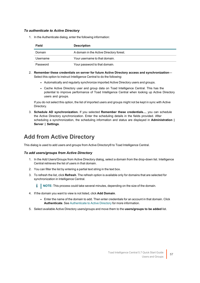#### *To authenticate to Active Directory*

1. In the Authenticate dialog, enter the following information:

| Field    | <b>Description</b>                       |
|----------|------------------------------------------|
| Domain   | A domain in the Active Directory forest. |
| Username | Your username to that domain.            |
| Password | Your password to that domain.            |

- 2. **Remember these credentials on server for future Active Directory access and synchronization** Select this option to instruct Intelligence Central to do the following:
	- Automatically and regularly synchronize imported Active Directory users and groups.
	- Cache Active Directory user and group data on Toad Intelligence Central. This has the potential to improve performance of Toad Intelligence Central when looking up Active Directory users and groups.

If you do not select this option, the list of imported users and groups might not be kept in sync with Active Directory.

3. **Schedule AD synchronization.** If you selected **Remember these credentials...**, you can schedule the Active Directory synchronization. Enter the scheduling details in the fields provided. After scheduling a synchronization, the scheduling information and status are displayed in **Administration | Server | Settings**.

### <span id="page-56-0"></span>**Add from Active Directory**

This dialog is used to add users and groups from Active Directory® to Toad Intelligence Central.

#### *To add users/groups from Active Directory*

- 1. In the Add Users/Groups from Active Directory dialog, select a domain from the drop-down list. Intelligence Central retrieves the list of users in that domain.
- 2. You can filter the list by entering a partial text string in the text box.
- 3. To refresh the list, click **Refresh**. The refresh option is available only for domains that are selected for synchronization in Intelligence Central.

**NOTE:** This process could take several minutes, depending on the size of the domain.

- 4. If the domain you want to view is not listed, click **Add Domain**.
	- Enter the name of the domain to add. Then enter credentials for an account in that domain. Click **Authenticate**. See [Authenticate](#page-55-0) to Active Directory for more information.
- 5. Select available Active Directory users/groups and move them to the **users/groups to be added** list.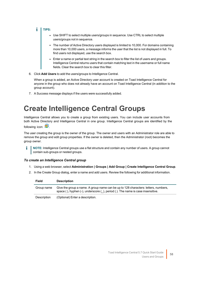### $\mathbf{i}$  | TIPS:

- Use SHIFT to select multiple users/groups in sequence. Use CTRL to select multiple users/groups not in sequence.
- The number of Active Directory users displayed is limited to 10,000. For domains containing more than 10,000 users, a message informs the user that the list is not displayed in full. To find users not displayed, use the search box.
- Enter a name or partial text string in the search box to filter the list of users and groups. Intelligence Central returns users that contain matching text in the username or full name fields. Clear the search box to clear this filter.
- 6. Click **Add Users** to add the users/groups to Intelligence Central.

When a group is added, an Active Directory user account is created on Toad Intelligence Central for anyone in the group who does not already have an account on Toad Intelligence Central (in addition to the group account).

<span id="page-57-0"></span>7. A Success message displays if the users were successfully added.

## **Create Intelligence Central Groups**

Intelligence Central allows you to create a group from existing users. You can include user accounts from both Active Directory and Intelligence Central in one group. Intelligence Central groups are identified by the

following icon:

The user creating the group is the owner of the group. The owner and users with an Administrator role are able to remove the group and edit group properties. If the owner is deleted, then the Administrator (root) becomes the group owner.

**NOTE:** Intelligence Central groups use a flat structure and contain any number of users. A group cannot contain sub-groups or nested groups.

#### *To create an Intelligence Central group*

- 1. Using a web browser, select **Administration | Groups | Add Group | Create Intelligence Central Group**.
- 2. In the Create Group dialog, enter a name and add users. Review the following for additional information.

| Field       | <b>Description</b>                                                                                                                                                   |
|-------------|----------------------------------------------------------------------------------------------------------------------------------------------------------------------|
| Group name  | Give the group a name. A group name can be up to 128 characters: letters, numbers,<br>space (), hyphen (-), underscore (), period (.). The name is case insensitive. |
| Description | (Optional) Enter a description.                                                                                                                                      |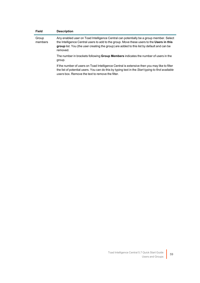| <b>Field</b>     | <b>Description</b>                                                                                                                                                                                                                                                                             |
|------------------|------------------------------------------------------------------------------------------------------------------------------------------------------------------------------------------------------------------------------------------------------------------------------------------------|
| Group<br>members | Any enabled user on Toad Intelligence Central can potentially be a group member. Select<br>the Intelligence Central users to add to the group. Move these users to the Users in this<br>group list. You (the user creating the group) are added to this list by default and can be<br>removed. |
|                  | The number in brackets following <b>Group Members</b> indicates the number of users in the<br>group.                                                                                                                                                                                           |
|                  | If the number of users on Toad Intelligence Central is extensive then you may like to filter<br>the list of potential users. You can do this by typing text in the Start typing to find available<br>users box. Remove the text to remove the filter.                                          |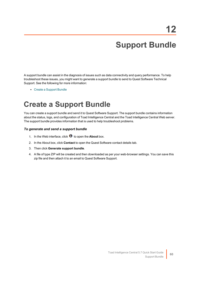## **Support Bundle**

<span id="page-59-0"></span>A support bundle can assist in the diagnosis of issues such as data connectivity and query performance. To help troubleshoot these issues, you might want to generate a support bundle to send to Quest Software Technical Support. See the following for more information:

<span id="page-59-1"></span>• Create a [Support](#page-59-1) Bundle

## **Create a Support Bundle**

You can create a support bundle and send it to Quest Software Support. The support bundle contains information about the status, logs, and configuration of Toad Intelligence Central and the Toad Intelligence Central Web server. The support bundle provides information that is used to help troubleshoot problems.

#### *To generate and send a support bundle*

- 1. In the Web interface, click  $\bullet$  to open the **About** box.
- 2. In the About box, click **Contact** to open the Quest Software contact details tab.
- 3. Then click **Generate support bundle**.
- 4. A file of type ZIP will be created and then downloaded as per your web-browser settings. You can save this zip file and then attach it to an email to Quest Software Support.